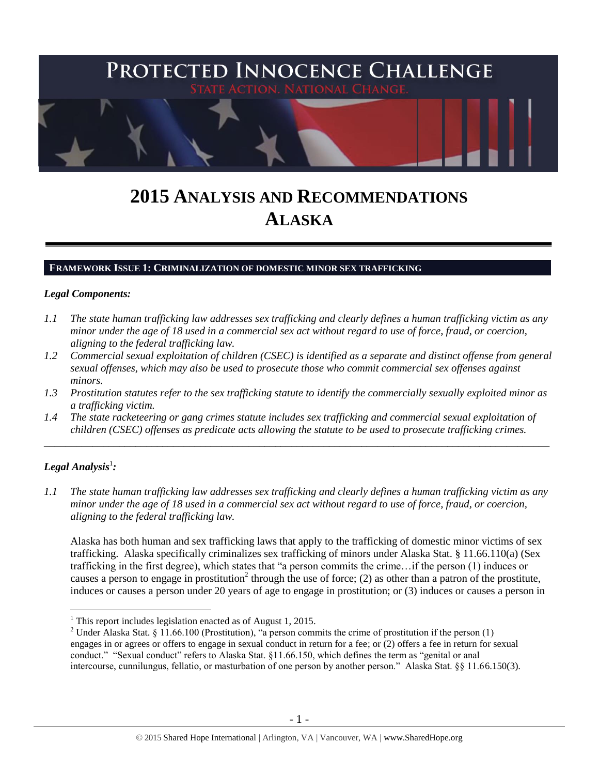

# **2015 ANALYSIS AND RECOMMENDATIONS ALASKA**

#### **FRAMEWORK ISSUE 1: CRIMINALIZATION OF DOMESTIC MINOR SEX TRAFFICKING**

#### *Legal Components:*

- *1.1 The state human trafficking law addresses sex trafficking and clearly defines a human trafficking victim as any minor under the age of 18 used in a commercial sex act without regard to use of force, fraud, or coercion, aligning to the federal trafficking law.*
- *1.2 Commercial sexual exploitation of children (CSEC) is identified as a separate and distinct offense from general sexual offenses, which may also be used to prosecute those who commit commercial sex offenses against minors.*
- *1.3 Prostitution statutes refer to the sex trafficking statute to identify the commercially sexually exploited minor as a trafficking victim.*
- *1.4 The state racketeering or gang crimes statute includes sex trafficking and commercial sexual exploitation of children (CSEC) offenses as predicate acts allowing the statute to be used to prosecute trafficking crimes.*

\_\_\_\_\_\_\_\_\_\_\_\_\_\_\_\_\_\_\_\_\_\_\_\_\_\_\_\_\_\_\_\_\_\_\_\_\_\_\_\_\_\_\_\_\_\_\_\_\_\_\_\_\_\_\_\_\_\_\_\_\_\_\_\_\_\_\_\_\_\_\_\_\_\_\_\_\_\_\_\_\_\_\_\_\_\_\_\_\_\_\_\_\_\_

# $\bm{\mathit{Legal\, Analysis^1}}$ :

<span id="page-0-0"></span> $\overline{a}$ 

*1.1 The state human trafficking law addresses sex trafficking and clearly defines a human trafficking victim as any minor under the age of 18 used in a commercial sex act without regard to use of force, fraud, or coercion, aligning to the federal trafficking law.*

Alaska has both human and sex trafficking laws that apply to the trafficking of domestic minor victims of sex trafficking. Alaska specifically criminalizes sex trafficking of minors under Alaska Stat. § 11.66.110(a) (Sex trafficking in the first degree), which states that "a person commits the crime…if the person (1) induces or causes a person to engage in prostitution<sup>2</sup> through the use of force; (2) as other than a patron of the prostitute, induces or causes a person under 20 years of age to engage in prostitution; or (3) induces or causes a person in

<sup>&</sup>lt;sup>1</sup> This report includes legislation enacted as of August 1, 2015.

<sup>&</sup>lt;sup>2</sup> Under Alaska Stat. § 11.66.100 (Prostitution), "a person commits the crime of prostitution if the person (1) engages in or agrees or offers to engage in sexual conduct in return for a fee; or (2) offers a fee in return for sexual conduct." "Sexual conduct" refers to Alaska Stat. §11.66.150, which defines the term as "genital or anal intercourse, cunnilungus, fellatio, or masturbation of one person by another person." Alaska Stat. §§ 11.66.150(3).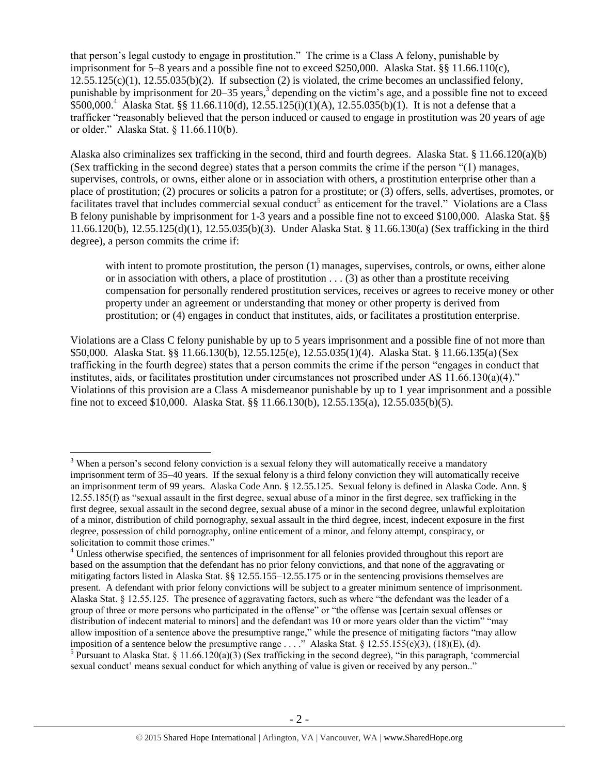<span id="page-1-0"></span>that person's legal custody to engage in prostitution." The crime is a Class A felony, punishable by imprisonment for 5–8 years and a possible fine not to exceed \$250,000. Alaska Stat. §§ 11.66.110(c),  $12.55.125(c)(1)$ ,  $12.55.035(b)(2)$ . If subsection (2) is violated, the crime becomes an unclassified felony, punishable by imprisonment for 20–35 years,<sup>3</sup> depending on the victim's age, and a possible fine not to exceed  $$500,000.<sup>4</sup>$  Alaska Stat. §§ 11.66.110(d), 12.55.125(i)(1)(A), 12.55.035(b)(1). It is not a defense that a trafficker "reasonably believed that the person induced or caused to engage in prostitution was 20 years of age or older." Alaska Stat. § 11.66.110(b).

Alaska also criminalizes sex trafficking in the second, third and fourth degrees. Alaska Stat. § 11.66.120(a)(b) (Sex trafficking in the second degree) states that a person commits the crime if the person "(1) manages, supervises, controls, or owns, either alone or in association with others, a prostitution enterprise other than a place of prostitution; (2) procures or solicits a patron for a prostitute; or (3) offers, sells, advertises, promotes, or facilitates travel that includes commercial sexual conduct<sup>5</sup> as enticement for the travel." Violations are a Class B felony punishable by imprisonment for 1-3 years and a possible fine not to exceed \$100,000. Alaska Stat. §§ 11.66.120(b), 12.55.125(d)(1), 12.55.035(b)(3). Under Alaska Stat. § 11.66.130(a) (Sex trafficking in the third degree), a person commits the crime if:

with intent to promote prostitution, the person (1) manages, supervises, controls, or owns, either alone or in association with others, a place of prostitution  $\dots$  (3) as other than a prostitute receiving compensation for personally rendered prostitution services, receives or agrees to receive money or other property under an agreement or understanding that money or other property is derived from prostitution; or (4) engages in conduct that institutes, aids, or facilitates a prostitution enterprise.

Violations are a Class C felony punishable by up to 5 years imprisonment and a possible fine of not more than \$50,000. Alaska Stat. §§ 11.66.130(b), 12.55.125(e), 12.55.035(1)(4). Alaska Stat. § 11.66.135(a)(Sex trafficking in the fourth degree) states that a person commits the crime if the person "engages in conduct that institutes, aids, or facilitates prostitution under circumstances not proscribed under AS 11.66.130(a)(4)." Violations of this provision are a Class A misdemeanor punishable by up to 1 year imprisonment and a possible fine not to exceed \$10,000. Alaska Stat. §§ 11.66.130(b), 12.55.135(a), 12.55.035(b)(5).

<sup>&</sup>lt;sup>3</sup> When a person's second felony conviction is a sexual felony they will automatically receive a mandatory imprisonment term of 35–40 years. If the sexual felony is a third felony conviction they will automatically receive an imprisonment term of 99 years. Alaska Code Ann. § 12.55.125. Sexual felony is defined in Alaska Code. Ann. § 12.55.185(f) as "sexual assault in the first degree, sexual abuse of a minor in the first degree, sex trafficking in the first degree, sexual assault in the second degree, sexual abuse of a minor in the second degree, unlawful exploitation of a minor, distribution of child pornography, sexual assault in the third degree, incest, indecent exposure in the first degree, possession of child pornography, online enticement of a minor, and felony attempt, conspiracy, or solicitation to commit those crimes."

<sup>&</sup>lt;sup>4</sup> Unless otherwise specified, the sentences of imprisonment for all felonies provided throughout this report are based on the assumption that the defendant has no prior felony convictions, and that none of the aggravating or mitigating factors listed in Alaska Stat. §§ 12.55.155–12.55.175 or in the sentencing provisions themselves are present. A defendant with prior felony convictions will be subject to a greater minimum sentence of imprisonment. Alaska Stat. § 12.55.125. The presence of aggravating factors, such as where "the defendant was the leader of a group of three or more persons who participated in the offense" or "the offense was [certain sexual offenses or distribution of indecent material to minors] and the defendant was 10 or more years older than the victim" "may allow imposition of a sentence above the presumptive range," while the presence of mitigating factors "may allow imposition of a sentence below the presumptive range . . . ." Alaska Stat. § 12.55.155(c)(3), (18)(E), (d). <sup>5</sup> Pursuant to Alaska Stat. § 11.66.120(a)(3) (Sex trafficking in the second degree), "in this paragraph, 'commercial sexual conduct' means sexual conduct for which anything of value is given or received by any person.."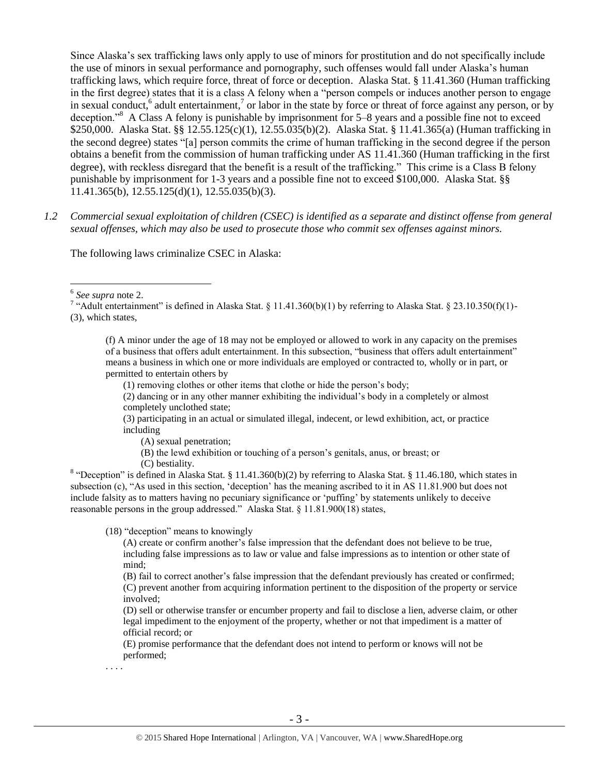Since Alaska's sex trafficking laws only apply to use of minors for prostitution and do not specifically include the use of minors in sexual performance and pornography, such offenses would fall under Alaska's human trafficking laws, which require force, threat of force or deception. Alaska Stat. § 11.41.360 (Human trafficking in the first degree) states that it is a class A felony when a "person compels or induces another person to engage in sexual conduct,  $6$  adult entertainment, $7$  or labor in the state by force or threat of force against any person, or by deception."<sup>8</sup> A Class A felony is punishable by imprisonment for 5–8 years and a possible fine not to exceed \$250,000. Alaska Stat. §§ 12.55.125(c)(1), 12.55.035(b)(2). Alaska Stat. § 11.41.365(a) (Human trafficking in the second degree) states "[a] person commits the crime of human trafficking in the second degree if the person obtains a benefit from the commission of human trafficking under AS 11.41.360 (Human trafficking in the first degree), with reckless disregard that the benefit is a result of the trafficking." This crime is a Class B felony punishable by imprisonment for 1-3 years and a possible fine not to exceed \$100,000. Alaska Stat. §§ 11.41.365(b), 12.55.125(d)(1), 12.55.035(b)(3).

*1.2 Commercial sexual exploitation of children (CSEC) is identified as a separate and distinct offense from general sexual offenses, which may also be used to prosecute those who commit sex offenses against minors.*

The following laws criminalize CSEC in Alaska:

6 *See supra* note [2.](#page-0-0)

 $\overline{a}$ 

(f) A minor under the age of 18 may not be employed or allowed to work in any capacity on the premises of a business that offers adult entertainment. In this subsection, "business that offers adult entertainment" means a business in which one or more individuals are employed or contracted to, wholly or in part, or permitted to entertain others by

(1) removing clothes or other items that clothe or hide the person's body;

(2) dancing or in any other manner exhibiting the individual's body in a completely or almost completely unclothed state;

(3) participating in an actual or simulated illegal, indecent, or lewd exhibition, act, or practice including

(A) sexual penetration;

(B) the lewd exhibition or touching of a person's genitals, anus, or breast; or

(C) bestiality.

<sup>8</sup> "Deception" is defined in Alaska Stat. § 11.41.360(b)(2) by referring to Alaska Stat. § 11.46.180, which states in subsection (c), "As used in this section, 'deception' has the meaning ascribed to it in AS 11.81.900 but does not include falsity as to matters having no pecuniary significance or 'puffing' by statements unlikely to deceive reasonable persons in the group addressed." Alaska Stat. § 11.81.900(18) states,

(18) "deception" means to knowingly

(A) create or confirm another's false impression that the defendant does not believe to be true, including false impressions as to law or value and false impressions as to intention or other state of mind;

(B) fail to correct another's false impression that the defendant previously has created or confirmed; (C) prevent another from acquiring information pertinent to the disposition of the property or service involved;

(D) sell or otherwise transfer or encumber property and fail to disclose a lien, adverse claim, or other legal impediment to the enjoyment of the property, whether or not that impediment is a matter of official record; or

(E) promise performance that the defendant does not intend to perform or knows will not be performed;

. . . .

<sup>&</sup>lt;sup>7</sup> "Adult entertainment" is defined in Alaska Stat. § 11.41.360(b)(1) by referring to Alaska Stat. § 23.10.350(f)(1)-(3), which states,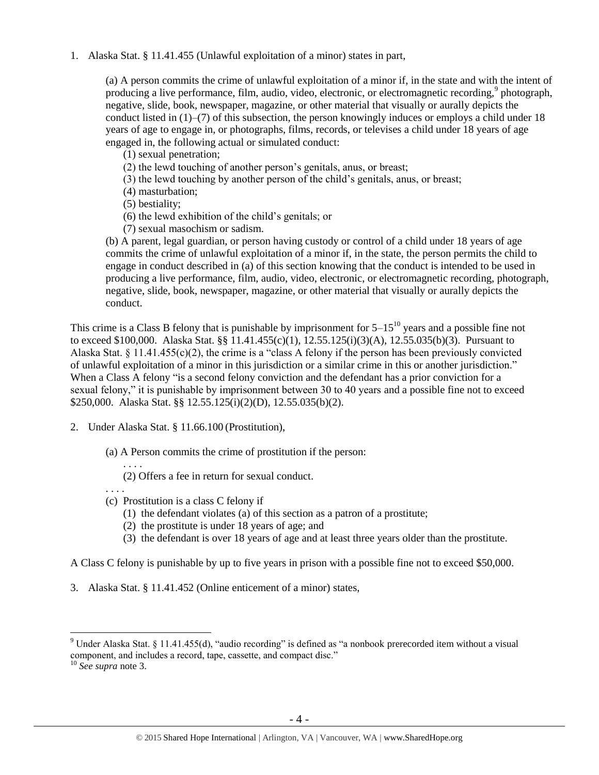1. Alaska Stat. § 11.41.455 (Unlawful exploitation of a minor) states in part,

(a) A person commits the crime of unlawful exploitation of a minor if, in the state and with the intent of producing a live performance, film, audio, video, electronic, or electromagnetic recording,<sup>9</sup> photograph, negative, slide, book, newspaper, magazine, or other material that visually or aurally depicts the conduct listed in  $(1)$ – $(7)$  of this subsection, the person knowingly induces or employs a child under 18 years of age to engage in, or photographs, films, records, or televises a child under 18 years of age engaged in, the following actual or simulated conduct:

(1) sexual penetration;

(2) the lewd touching of another person's genitals, anus, or breast;

(3) the lewd touching by another person of the child's genitals, anus, or breast;

(4) masturbation;

(5) bestiality;

- (6) the lewd exhibition of the child's genitals; or
- (7) sexual masochism or sadism.

(b) A parent, legal guardian, or person having custody or control of a child under 18 years of age commits the crime of unlawful exploitation of a minor if, in the state, the person permits the child to engage in conduct described in (a) of this section knowing that the conduct is intended to be used in producing a live performance, film, audio, video, electronic, or electromagnetic recording, photograph, negative, slide, book, newspaper, magazine, or other material that visually or aurally depicts the conduct.

This crime is a Class B felony that is punishable by imprisonment for  $5-15^{10}$  years and a possible fine not to exceed \$100,000. Alaska Stat. §§ 11.41.455(c)(1), 12.55.125(i)(3)(A), 12.55.035(b)(3). Pursuant to Alaska Stat. § 11.41.455(c)(2), the crime is a "class A felony if the person has been previously convicted of unlawful exploitation of a minor in this jurisdiction or a similar crime in this or another jurisdiction." When a Class A felony "is a second felony conviction and the defendant has a prior conviction for a sexual felony," it is punishable by imprisonment between 30 to 40 years and a possible fine not to exceed \$250,000. Alaska Stat. §§ 12.55.125(i)(2)(D), 12.55.035(b)(2).

- 2. Under Alaska Stat. § 11.66.100 (Prostitution),
	- (a) A Person commits the crime of prostitution if the person:
		- . . . . (2) Offers a fee in return for sexual conduct.
	- (c) Prostitution is a class C felony if
		- (1) the defendant violates (a) of this section as a patron of a prostitute;
		- (2) the prostitute is under 18 years of age; and
		- (3) the defendant is over 18 years of age and at least three years older than the prostitute.

A Class C felony is punishable by up to five years in prison with a possible fine not to exceed \$50,000.

3. Alaska Stat. § 11.41.452 (Online enticement of a minor) states,

 $\overline{a}$ 

. . . .

<sup>9</sup> Under Alaska Stat. § 11.41.455(d), "audio recording" is defined as "a nonbook prerecorded item without a visual component, and includes a record, tape, cassette, and compact disc."

<sup>10</sup> *See supra* note [3.](#page-1-0)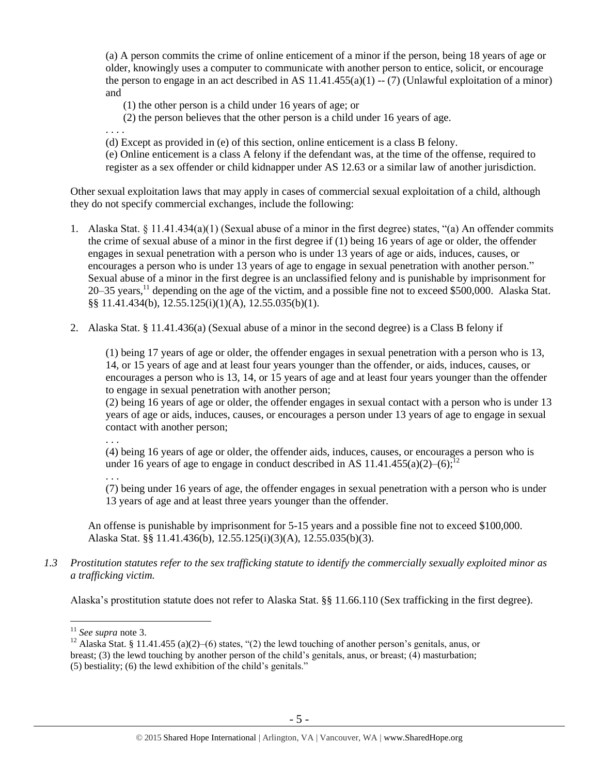(a) A person commits the crime of online enticement of a minor if the person, being 18 years of age or older, knowingly uses a computer to communicate with another person to entice, solicit, or encourage the person to engage in an act described in AS  $11.41.455(a)(1) - (7)$  (Unlawful exploitation of a minor) and

(1) the other person is a child under 16 years of age; or

(2) the person believes that the other person is a child under 16 years of age.

. . . .

(d) Except as provided in (e) of this section, online enticement is a class B felony.

(e) Online enticement is a class A felony if the defendant was, at the time of the offense, required to register as a sex offender or child kidnapper under AS 12.63 or a similar law of another jurisdiction.

Other sexual exploitation laws that may apply in cases of commercial sexual exploitation of a child, although they do not specify commercial exchanges, include the following:

- 1. Alaska Stat. § 11.41.434(a)(1) (Sexual abuse of a minor in the first degree) states, "(a) An offender commits the crime of sexual abuse of a minor in the first degree if (1) being 16 years of age or older, the offender engages in sexual penetration with a person who is under 13 years of age or aids, induces, causes, or encourages a person who is under 13 years of age to engage in sexual penetration with another person." Sexual abuse of a minor in the first degree is an unclassified felony and is punishable by imprisonment for 20–35 vears,<sup>11</sup> depending on the age of the victim, and a possible fine not to exceed \$500,000. Alaska Stat. §§ 11.41.434(b), 12.55.125(i)(1)(A), 12.55.035(b)(1).
- 2. Alaska Stat. § 11.41.436(a) (Sexual abuse of a minor in the second degree) is a Class B felony if

(1) being 17 years of age or older, the offender engages in sexual penetration with a person who is 13, 14, or 15 years of age and at least four years younger than the offender, or aids, induces, causes, or encourages a person who is 13, 14, or 15 years of age and at least four years younger than the offender to engage in sexual penetration with another person;

(2) being 16 years of age or older, the offender engages in sexual contact with a person who is under 13 years of age or aids, induces, causes, or encourages a person under 13 years of age to engage in sexual contact with another person;

. . .

(4) being 16 years of age or older, the offender aids, induces, causes, or encourages a person who is under 16 years of age to engage in conduct described in AS 11.41.455(a)(2)–(6);<sup>12</sup>

. . .

(7) being under 16 years of age, the offender engages in sexual penetration with a person who is under 13 years of age and at least three years younger than the offender.

An offense is punishable by imprisonment for 5-15 years and a possible fine not to exceed \$100,000. Alaska Stat. §§ 11.41.436(b), 12.55.125(i)(3)(A), 12.55.035(b)(3).

*1.3 Prostitution statutes refer to the sex trafficking statute to identify the commercially sexually exploited minor as a trafficking victim.* 

Alaska's prostitution statute does not refer to Alaska Stat. §§ 11.66.110 (Sex trafficking in the first degree).

<sup>11</sup> *See supra* note [3.](#page-1-0)

<sup>&</sup>lt;sup>12</sup> Alaska Stat. § 11.41.455 (a)(2)–(6) states, "(2) the lewd touching of another person's genitals, anus, or breast; (3) the lewd touching by another person of the child's genitals, anus, or breast; (4) masturbation; (5) bestiality; (6) the lewd exhibition of the child's genitals."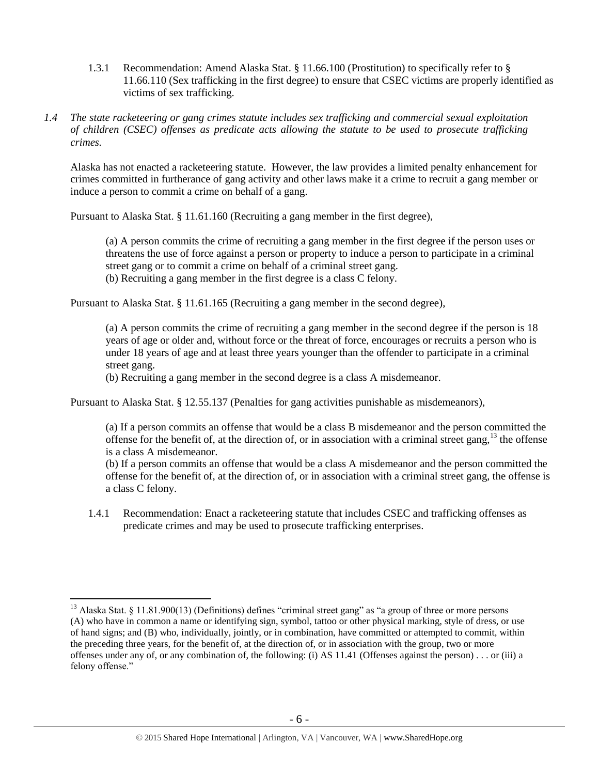- 1.3.1 Recommendation: Amend Alaska Stat. § 11.66.100 (Prostitution) to specifically refer to § 11.66.110 (Sex trafficking in the first degree) to ensure that CSEC victims are properly identified as victims of sex trafficking.
- *1.4 The state racketeering or gang crimes statute includes sex trafficking and commercial sexual exploitation of children (CSEC) offenses as predicate acts allowing the statute to be used to prosecute trafficking crimes.*

Alaska has not enacted a racketeering statute. However, the law provides a limited penalty enhancement for crimes committed in furtherance of gang activity and other laws make it a crime to recruit a gang member or induce a person to commit a crime on behalf of a gang.

Pursuant to Alaska Stat. § 11.61.160 (Recruiting a gang member in the first degree),

(a) A person commits the crime of recruiting a gang member in the first degree if the person uses or threatens the use of force against a person or property to induce a person to participate in a criminal street gang or to commit a crime on behalf of a criminal street gang.

(b) Recruiting a gang member in the first degree is a class C felony.

Pursuant to Alaska Stat. § 11.61.165 (Recruiting a gang member in the second degree),

(a) A person commits the crime of recruiting a gang member in the second degree if the person is 18 years of age or older and, without force or the threat of force, encourages or recruits a person who is under 18 years of age and at least three years younger than the offender to participate in a criminal street gang.

(b) Recruiting a gang member in the second degree is a class A misdemeanor.

Pursuant to Alaska Stat. § 12.55.137 (Penalties for gang activities punishable as misdemeanors),

(a) If a person commits an offense that would be a class B misdemeanor and the person committed the offense for the benefit of, at the direction of, or in association with a criminal street gang,  $^{13}$  the offense is a class A misdemeanor.

(b) If a person commits an offense that would be a class A misdemeanor and the person committed the offense for the benefit of, at the direction of, or in association with a criminal street gang, the offense is a class C felony.

1.4.1 Recommendation: Enact a racketeering statute that includes CSEC and trafficking offenses as predicate crimes and may be used to prosecute trafficking enterprises.

<sup>&</sup>lt;sup>13</sup> Alaska Stat. § 11.81.900(13) (Definitions) defines "criminal street gang" as "a group of three or more persons (A) who have in common a name or identifying sign, symbol, tattoo or other physical marking, style of dress, or use of hand signs; and (B) who, individually, jointly, or in combination, have committed or attempted to commit, within the preceding three years, for the benefit of, at the direction of, or in association with the group, two or more offenses under any of, or any combination of, the following: (i) AS 11.41 (Offenses against the person) . . . or (iii) a felony offense."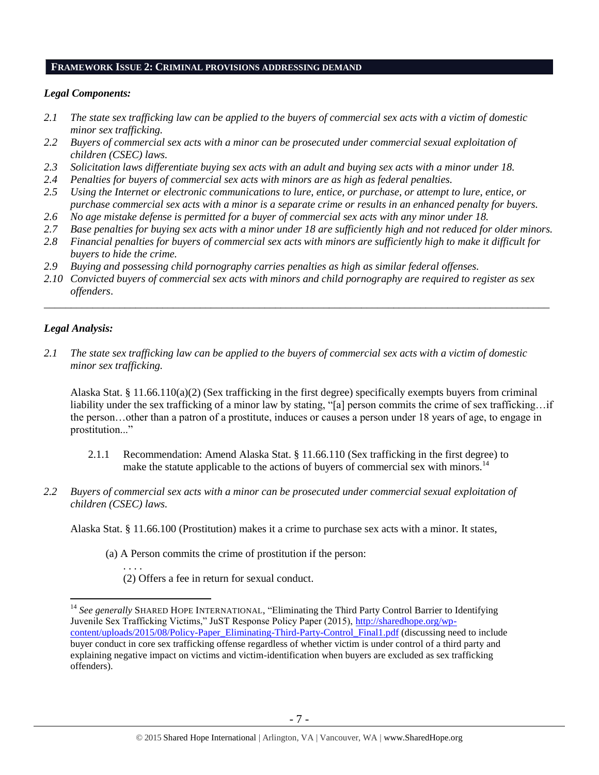#### **FRAMEWORK ISSUE 2: CRIMINAL PROVISIONS ADDRESSING DEMAND**

#### *Legal Components:*

- *2.1 The state sex trafficking law can be applied to the buyers of commercial sex acts with a victim of domestic minor sex trafficking.*
- *2.2 Buyers of commercial sex acts with a minor can be prosecuted under commercial sexual exploitation of children (CSEC) laws.*
- *2.3 Solicitation laws differentiate buying sex acts with an adult and buying sex acts with a minor under 18.*
- *2.4 Penalties for buyers of commercial sex acts with minors are as high as federal penalties.*
- *2.5 Using the Internet or electronic communications to lure, entice, or purchase, or attempt to lure, entice, or purchase commercial sex acts with a minor is a separate crime or results in an enhanced penalty for buyers.*
- *2.6 No age mistake defense is permitted for a buyer of commercial sex acts with any minor under 18.*
- *2.7 Base penalties for buying sex acts with a minor under 18 are sufficiently high and not reduced for older minors.*
- *2.8 Financial penalties for buyers of commercial sex acts with minors are sufficiently high to make it difficult for buyers to hide the crime.*
- *2.9 Buying and possessing child pornography carries penalties as high as similar federal offenses.*
- *2.10 Convicted buyers of commercial sex acts with minors and child pornography are required to register as sex offenders*.

\_\_\_\_\_\_\_\_\_\_\_\_\_\_\_\_\_\_\_\_\_\_\_\_\_\_\_\_\_\_\_\_\_\_\_\_\_\_\_\_\_\_\_\_\_\_\_\_\_\_\_\_\_\_\_\_\_\_\_\_\_\_\_\_\_\_\_\_\_\_\_\_\_\_\_\_\_\_\_\_\_\_\_\_\_\_\_\_\_\_\_\_\_\_

## *Legal Analysis:*

 $\overline{a}$ 

*2.1 The state sex trafficking law can be applied to the buyers of commercial sex acts with a victim of domestic minor sex trafficking.*

Alaska Stat. § 11.66.110(a)(2) (Sex trafficking in the first degree) specifically exempts buyers from criminal liability under the sex trafficking of a minor law by stating, "[a] person commits the crime of sex trafficking…if the person…other than a patron of a prostitute, induces or causes a person under 18 years of age, to engage in prostitution..."

- 2.1.1 Recommendation: Amend Alaska Stat. § 11.66.110 (Sex trafficking in the first degree) to make the statute applicable to the actions of buyers of commercial sex with minors.<sup>14</sup>
- *2.2 Buyers of commercial sex acts with a minor can be prosecuted under commercial sexual exploitation of children (CSEC) laws.*

Alaska Stat. § 11.66.100 (Prostitution) makes it a crime to purchase sex acts with a minor. It states,

(a) A Person commits the crime of prostitution if the person:

. . . . (2) Offers a fee in return for sexual conduct.

<sup>&</sup>lt;sup>14</sup> See generally SHARED HOPE INTERNATIONAL, "Eliminating the Third Party Control Barrier to Identifying Juvenile Sex Trafficking Victims," JuST Response Policy Paper (2015), [http://sharedhope.org/wp](http://sharedhope.org/wp-content/uploads/2015/08/Policy-Paper_Eliminating-Third-Party-Control_Final1.pdf)[content/uploads/2015/08/Policy-Paper\\_Eliminating-Third-Party-Control\\_Final1.pdf](http://sharedhope.org/wp-content/uploads/2015/08/Policy-Paper_Eliminating-Third-Party-Control_Final1.pdf) (discussing need to include buyer conduct in core sex trafficking offense regardless of whether victim is under control of a third party and explaining negative impact on victims and victim-identification when buyers are excluded as sex trafficking offenders).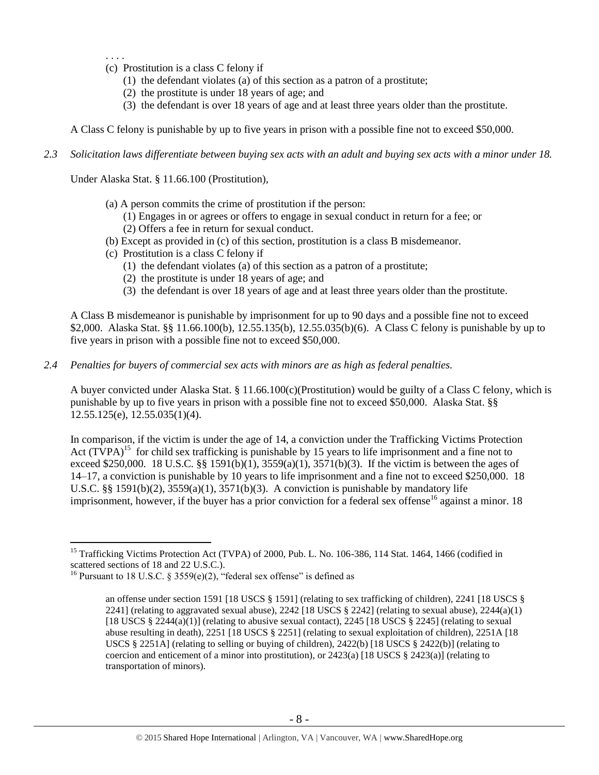- . . . . (c) Prostitution is a class C felony if
	- (1) the defendant violates (a) of this section as a patron of a prostitute;
	- (2) the prostitute is under 18 years of age; and
	- (3) the defendant is over 18 years of age and at least three years older than the prostitute.

A Class C felony is punishable by up to five years in prison with a possible fine not to exceed \$50,000.

*2.3 Solicitation laws differentiate between buying sex acts with an adult and buying sex acts with a minor under 18.*

Under Alaska Stat. § 11.66.100 (Prostitution),

- (a) A person commits the crime of prostitution if the person:
	- (1) Engages in or agrees or offers to engage in sexual conduct in return for a fee; or (2) Offers a fee in return for sexual conduct.
- (b) Except as provided in (c) of this section, prostitution is a class B misdemeanor.
- (c) Prostitution is a class C felony if
	- (1) the defendant violates (a) of this section as a patron of a prostitute;
	- (2) the prostitute is under 18 years of age; and
	- (3) the defendant is over 18 years of age and at least three years older than the prostitute.

A Class B misdemeanor is punishable by imprisonment for up to 90 days and a possible fine not to exceed \$2,000. Alaska Stat. §§ 11.66.100(b), 12.55.135(b), 12.55.035(b)(6). A Class C felony is punishable by up to five years in prison with a possible fine not to exceed \$50,000.

*2.4 Penalties for buyers of commercial sex acts with minors are as high as federal penalties.*

A buyer convicted under Alaska Stat. § 11.66.100(c)(Prostitution) would be guilty of a Class C felony, which is punishable by up to five years in prison with a possible fine not to exceed \$50,000. Alaska Stat. §§ 12.55.125(e), 12.55.035(1)(4).

<span id="page-7-0"></span>In comparison, if the victim is under the age of 14, a conviction under the Trafficking Victims Protection Act  $(T\hat{V}PA)^{15}$  for child sex trafficking is punishable by 15 years to life imprisonment and a fine not to exceed \$250,000. 18 U.S.C. §§ 1591(b)(1), 3559(a)(1), 3571(b)(3). If the victim is between the ages of 14–17, a conviction is punishable by 10 years to life imprisonment and a fine not to exceed \$250,000. 18 U.S.C. §§ 1591(b)(2),  $3559(a)(1)$ ,  $3571(b)(3)$ . A conviction is punishable by mandatory life imprisonment, however, if the buyer has a prior conviction for a federal sex offense<sup>16</sup> against a minor. 18

<sup>&</sup>lt;sup>15</sup> Trafficking Victims Protection Act (TVPA) of 2000, Pub. L. No. 106-386, 114 Stat. 1464, 1466 (codified in scattered sections of 18 and 22 U.S.C.).

<sup>&</sup>lt;sup>16</sup> Pursuant to 18 U.S.C. § 3559(e)(2), "federal sex offense" is defined as

<span id="page-7-1"></span>an offense under section 1591 [18 USCS § 1591] (relating to sex trafficking of children), 2241 [18 USCS § 2241] (relating to aggravated sexual abuse), 2242 [18 USCS  $\S$  2242] (relating to sexual abuse), 2244(a)(1) [18 USCS § 2244(a)(1)] (relating to abusive sexual contact), 2245 [18 USCS § 2245] (relating to sexual abuse resulting in death), 2251 [18 USCS § 2251] (relating to sexual exploitation of children), 2251A [18 USCS  $\S 2251$ A] (relating to selling or buying of children), 2422(b) [18 USCS  $\S 2422$ (b)] (relating to coercion and enticement of a minor into prostitution), or  $2423(a)$  [18 USCS §  $2423(a)$ ] (relating to transportation of minors).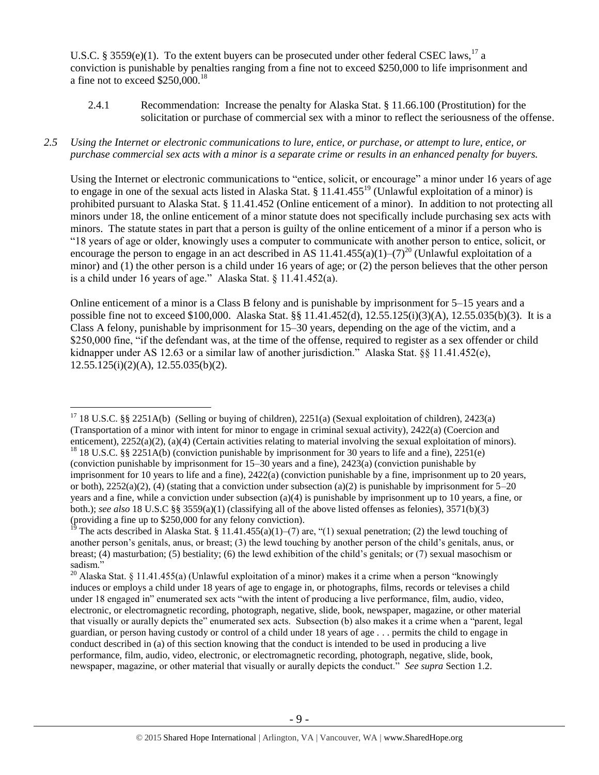U.S.C. § 3559(e)(1). To the extent buyers can be prosecuted under other federal CSEC laws,  $^{17}$  a conviction is punishable by penalties ranging from a fine not to exceed \$250,000 to life imprisonment and a fine not to exceed  $$250,000$ .<sup>18</sup>

2.4.1 Recommendation: Increase the penalty for Alaska Stat. § 11.66.100 (Prostitution) for the solicitation or purchase of commercial sex with a minor to reflect the seriousness of the offense.

## *2.5 Using the Internet or electronic communications to lure, entice, or purchase, or attempt to lure, entice, or purchase commercial sex acts with a minor is a separate crime or results in an enhanced penalty for buyers.*

Using the Internet or electronic communications to "entice, solicit, or encourage" a minor under 16 years of age to engage in one of the sexual acts listed in Alaska Stat.  $\S$  11.41.455<sup>19</sup> (Unlawful exploitation of a minor) is prohibited pursuant to Alaska Stat. § 11.41.452 (Online enticement of a minor). In addition to not protecting all minors under 18, the online enticement of a minor statute does not specifically include purchasing sex acts with minors. The statute states in part that a person is guilty of the online enticement of a minor if a person who is "18 years of age or older, knowingly uses a computer to communicate with another person to entice, solicit, or encourage the person to engage in an act described in AS 11.41.455(a)(1)–(7)<sup>20</sup> (Unlawful exploitation of a minor) and (1) the other person is a child under 16 years of age; or (2) the person believes that the other person is a child under 16 years of age." Alaska Stat. § 11.41.452(a).

Online enticement of a minor is a Class B felony and is punishable by imprisonment for 5–15 years and a possible fine not to exceed \$100,000. Alaska Stat. §§ 11.41.452(d), 12.55.125(i)(3)(A), 12.55.035(b)(3). It is a Class A felony, punishable by imprisonment for 15–30 years, depending on the age of the victim, and a \$250,000 fine, "if the defendant was, at the time of the offense, required to register as a sex offender or child kidnapper under AS 12.63 or a similar law of another jurisdiction." Alaska Stat. §§ 11.41.452(e), 12.55.125(i)(2)(A), 12.55.035(b)(2).

 $\overline{a}$ <sup>17</sup> 18 U.S.C. §§ 2251A(b) (Selling or buying of children), 2251(a) (Sexual exploitation of children), 2423(a) (Transportation of a minor with intent for minor to engage in criminal sexual activity), 2422(a) (Coercion and enticement), 2252(a)(2), (a)(4) (Certain activities relating to material involving the sexual exploitation of minors). <sup>18</sup> 18 U.S.C. §§ 2251A(b) (conviction punishable by imprisonment for 30 years to life and a fine), 2251(e)

<sup>(</sup>conviction punishable by imprisonment for 15–30 years and a fine), 2423(a) (conviction punishable by imprisonment for 10 years to life and a fine), 2422(a) (conviction punishable by a fine, imprisonment up to 20 years, or both),  $2252(a)(2)$ , (4) (stating that a conviction under subsection (a)(2) is punishable by imprisonment for  $5-20$ years and a fine, while a conviction under subsection (a)(4) is punishable by imprisonment up to 10 years, a fine, or both.); *see also* 18 U.S.C §§ 3559(a)(1) (classifying all of the above listed offenses as felonies), 3571(b)(3) (providing a fine up to \$250,000 for any felony conviction).

The acts described in Alaska Stat. § 11.41.455(a)(1)–(7) are, "(1) sexual penetration; (2) the lewd touching of another person's genitals, anus, or breast; (3) the lewd touching by another person of the child's genitals, anus, or breast; (4) masturbation; (5) bestiality; (6) the lewd exhibition of the child's genitals; or (7) sexual masochism or sadism."

<sup>&</sup>lt;sup>20</sup> Alaska Stat. § 11.41.455(a) (Unlawful exploitation of a minor) makes it a crime when a person "knowingly induces or employs a child under 18 years of age to engage in, or photographs, films, records or televises a child under 18 engaged in" enumerated sex acts "with the intent of producing a live performance, film, audio, video, electronic, or electromagnetic recording, photograph, negative, slide, book, newspaper, magazine, or other material that visually or aurally depicts the" enumerated sex acts. Subsection (b) also makes it a crime when a "parent, legal guardian, or person having custody or control of a child under 18 years of age . . . permits the child to engage in conduct described in (a) of this section knowing that the conduct is intended to be used in producing a live performance, film, audio, video, electronic, or electromagnetic recording, photograph, negative, slide, book, newspaper, magazine, or other material that visually or aurally depicts the conduct." *See supra* Section 1.2.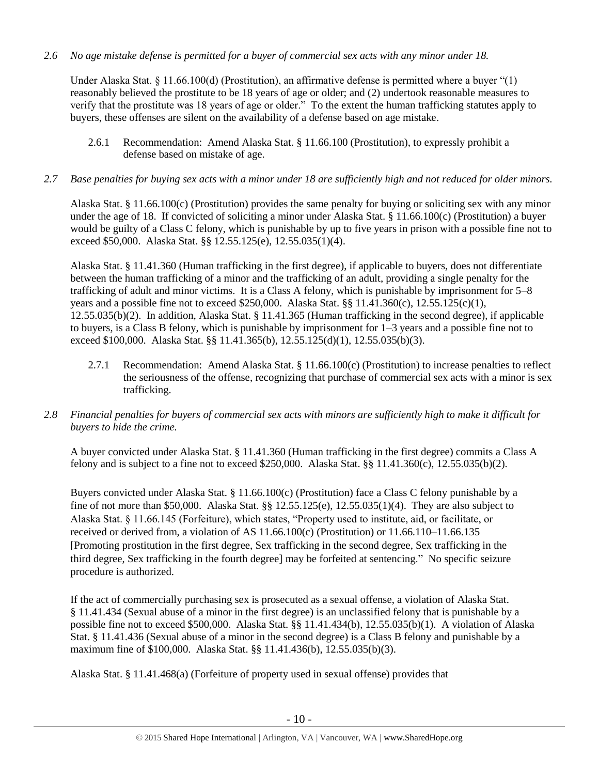*2.6 No age mistake defense is permitted for a buyer of commercial sex acts with any minor under 18.*

Under Alaska Stat. § 11.66.100(d) (Prostitution), an affirmative defense is permitted where a buyer "(1) reasonably believed the prostitute to be 18 years of age or older; and (2) undertook reasonable measures to verify that the prostitute was 18 years of age or older." To the extent the human trafficking statutes apply to buyers, these offenses are silent on the availability of a defense based on age mistake.

- 2.6.1 Recommendation: Amend Alaska Stat. § 11.66.100 (Prostitution), to expressly prohibit a defense based on mistake of age.
- *2.7 Base penalties for buying sex acts with a minor under 18 are sufficiently high and not reduced for older minors.*

Alaska Stat. § 11.66.100(c) (Prostitution) provides the same penalty for buying or soliciting sex with any minor under the age of 18. If convicted of soliciting a minor under Alaska Stat. § 11.66.100(c) (Prostitution) a buyer would be guilty of a Class C felony, which is punishable by up to five years in prison with a possible fine not to exceed \$50,000. Alaska Stat. §§ 12.55.125(e), 12.55.035(1)(4).

Alaska Stat. § 11.41.360 (Human trafficking in the first degree), if applicable to buyers, does not differentiate between the human trafficking of a minor and the trafficking of an adult, providing a single penalty for the trafficking of adult and minor victims. It is a Class A felony, which is punishable by imprisonment for 5–8 years and a possible fine not to exceed \$250,000. Alaska Stat. §§ 11.41.360(c), 12.55.125(c)(1), 12.55.035(b)(2). In addition, Alaska Stat. § 11.41.365 (Human trafficking in the second degree), if applicable to buyers, is a Class B felony, which is punishable by imprisonment for 1–3 years and a possible fine not to exceed \$100,000. Alaska Stat. §§ 11.41.365(b), 12.55.125(d)(1), 12.55.035(b)(3).

- 2.7.1 Recommendation: Amend Alaska Stat. § 11.66.100(c) (Prostitution) to increase penalties to reflect the seriousness of the offense, recognizing that purchase of commercial sex acts with a minor is sex trafficking.
- *2.8 Financial penalties for buyers of commercial sex acts with minors are sufficiently high to make it difficult for buyers to hide the crime.*

A buyer convicted under Alaska Stat. § 11.41.360 (Human trafficking in the first degree) commits a Class A felony and is subject to a fine not to exceed \$250,000. Alaska Stat. §§ 11.41.360(c), 12.55.035(b)(2).

Buyers convicted under Alaska Stat. § 11.66.100(c) (Prostitution) face a Class C felony punishable by a fine of not more than \$50,000. Alaska Stat. §§ 12.55.125(e), 12.55.035(1)(4). They are also subject to Alaska Stat. § 11.66.145 (Forfeiture), which states, "Property used to institute, aid, or facilitate, or received or derived from, a violation of AS  $11.66.100(c)$  (Prostitution) or  $11.66.110-11.66.135$ [Promoting prostitution in the first degree, Sex trafficking in the second degree, Sex trafficking in the third degree, Sex trafficking in the fourth degree] may be forfeited at sentencing." No specific seizure procedure is authorized.

If the act of commercially purchasing sex is prosecuted as a sexual offense, a violation of Alaska Stat. § 11.41.434 (Sexual abuse of a minor in the first degree) is an unclassified felony that is punishable by a possible fine not to exceed \$500,000. Alaska Stat. §§ 11.41.434(b), 12.55.035(b)(1). A violation of Alaska Stat. § 11.41.436 (Sexual abuse of a minor in the second degree) is a Class B felony and punishable by a maximum fine of \$100,000. Alaska Stat. §§ 11.41.436(b), 12.55.035(b)(3).

Alaska Stat. § 11.41.468(a) (Forfeiture of property used in sexual offense) provides that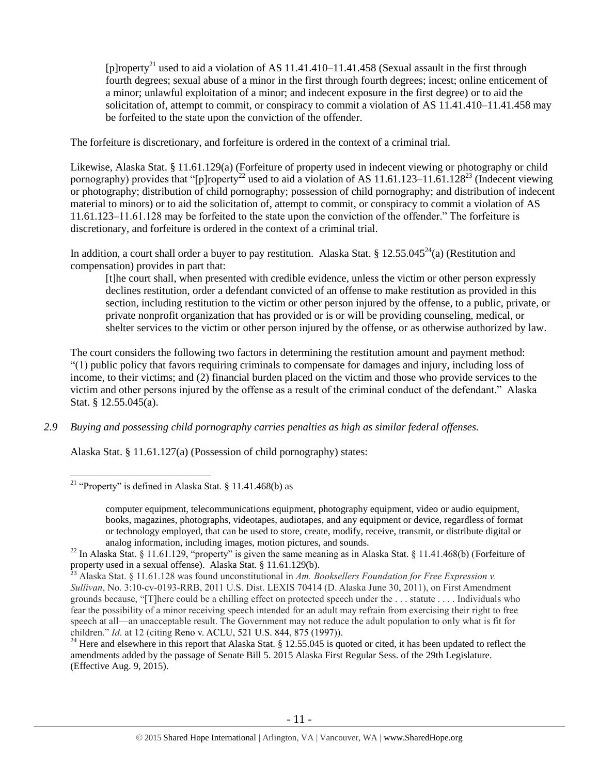<span id="page-10-0"></span>[p]roperty<sup>21</sup> used to aid a violation of AS 11.41.410–11.41.458 (Sexual assault in the first through fourth degrees; sexual abuse of a minor in the first through fourth degrees; incest; online enticement of a minor; unlawful exploitation of a minor; and indecent exposure in the first degree) or to aid the solicitation of, attempt to commit, or conspiracy to commit a violation of AS 11.41.410–11.41.458 may be forfeited to the state upon the conviction of the offender.

The forfeiture is discretionary, and forfeiture is ordered in the context of a criminal trial.

Likewise, Alaska Stat. § 11.61.129(a) (Forfeiture of property used in indecent viewing or photography or child pornography) provides that "[p]roperty<sup>22</sup> used to aid a violation of AS 11.61.123–11.61.128<sup>23</sup> (Indecent viewing or photography; distribution of child pornography; possession of child pornography; and distribution of indecent material to minors) or to aid the solicitation of, attempt to commit, or conspiracy to commit a violation of AS 11.61.123–11.61.128 may be forfeited to the state upon the conviction of the offender." The forfeiture is discretionary, and forfeiture is ordered in the context of a criminal trial.

In addition, a court shall order a buyer to pay restitution. Alaska Stat. § 12.55.045<sup>24</sup>(a) (Restitution and compensation) provides in part that:

<span id="page-10-2"></span><span id="page-10-1"></span>[t]he court shall, when presented with credible evidence, unless the victim or other person expressly declines restitution, order a defendant convicted of an offense to make restitution as provided in this section, including restitution to the victim or other person injured by the offense, to a public, private, or private nonprofit organization that has provided or is or will be providing counseling, medical, or shelter services to the victim or other person injured by the offense, or as otherwise authorized by law.

The court considers the following two factors in determining the restitution amount and payment method: "(1) public policy that favors requiring criminals to compensate for damages and injury, including loss of income, to their victims; and (2) financial burden placed on the victim and those who provide services to the victim and other persons injured by the offense as a result of the criminal conduct of the defendant." Alaska Stat. § 12.55.045(a).

*2.9 Buying and possessing child pornography carries penalties as high as similar federal offenses.*

Alaska Stat. § 11.61.127(a) (Possession of child pornography) states:

 $\overline{a}$ 

<sup>24</sup> Here and elsewhere in this report that Alaska Stat. § 12.55.045 is quoted or cited, it has been updated to reflect the amendments added by the passage of Senate Bill 5. 2015 Alaska First Regular Sess. of the 29th Legislature. (Effective Aug. 9, 2015).

<sup>&</sup>lt;sup>21</sup> "Property" is defined in Alaska Stat. § 11.41.468(b) as

computer equipment, telecommunications equipment, photography equipment, video or audio equipment, books, magazines, photographs, videotapes, audiotapes, and any equipment or device, regardless of format or technology employed, that can be used to store, create, modify, receive, transmit, or distribute digital or analog information, including images, motion pictures, and sounds.

<sup>&</sup>lt;sup>22</sup> In Alaska Stat. § 11.61.129, "property" is given the same meaning as in Alaska Stat. § 11.41.468(b) (Forfeiture of property used in a sexual offense). Alaska Stat. § 11.61.129(b).

<sup>23</sup> Alaska Stat. § 11.61.128 was found unconstitutional in *Am. Booksellers Foundation for Free Expression v. Sullivan*, No. 3:10-cv-0193-RRB, 2011 U.S. Dist. LEXIS 70414 (D. Alaska June 30, 2011), on First Amendment grounds because, "[T]here could be a chilling effect on protected speech under the . . . statute . . . . Individuals who fear the possibility of a minor receiving speech intended for an adult may refrain from exercising their right to free speech at all—an unacceptable result. The Government may not reduce the adult population to only what is fit for children." *Id.* at 12 (citing Reno v. ACLU, 521 U.S. 844, 875 (1997)).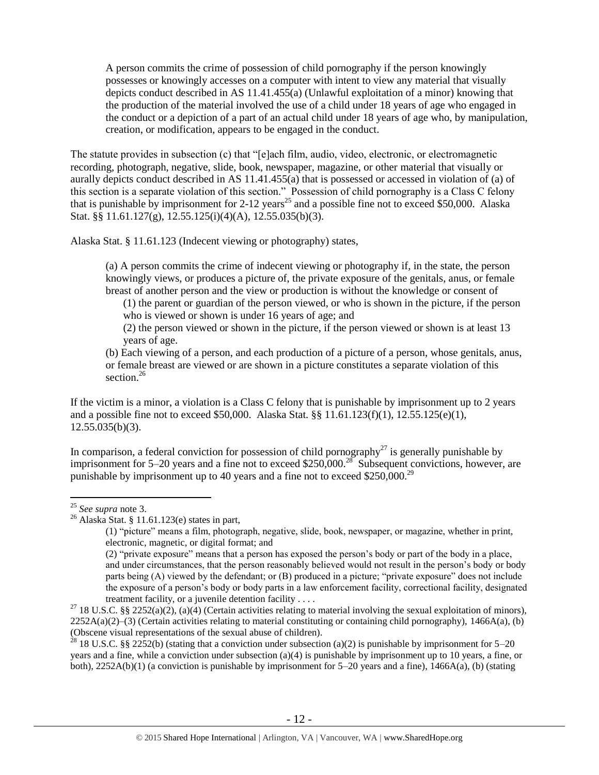A person commits the crime of possession of child pornography if the person knowingly possesses or knowingly accesses on a computer with intent to view any material that visually depicts conduct described in AS 11.41.455(a) (Unlawful exploitation of a minor) knowing that the production of the material involved the use of a child under 18 years of age who engaged in the conduct or a depiction of a part of an actual child under 18 years of age who, by manipulation, creation, or modification, appears to be engaged in the conduct.

The statute provides in subsection (c) that "[e]ach film, audio, video, electronic, or electromagnetic recording, photograph, negative, slide, book, newspaper, magazine, or other material that visually or aurally depicts conduct described in AS 11.41.455(a) that is possessed or accessed in violation of (a) of this section is a separate violation of this section." Possession of child pornography is a Class C felony that is punishable by imprisonment for 2-12 years<sup>25</sup> and a possible fine not to exceed \$50,000. Alaska Stat. §§ 11.61.127(g), 12.55.125(i)(4)(A), 12.55.035(b)(3).

Alaska Stat. § 11.61.123 (Indecent viewing or photography) states,

(a) A person commits the crime of indecent viewing or photography if, in the state, the person knowingly views, or produces a picture of, the private exposure of the genitals, anus, or female breast of another person and the view or production is without the knowledge or consent of

(1) the parent or guardian of the person viewed, or who is shown in the picture, if the person who is viewed or shown is under 16 years of age; and

(2) the person viewed or shown in the picture, if the person viewed or shown is at least 13 years of age.

<span id="page-11-0"></span>(b) Each viewing of a person, and each production of a picture of a person, whose genitals, anus, or female breast are viewed or are shown in a picture constitutes a separate violation of this section.<sup>26</sup>

If the victim is a minor, a violation is a Class C felony that is punishable by imprisonment up to 2 years and a possible fine not to exceed \$50,000. Alaska Stat. §§ 11.61.123(f)(1), 12.55.125(e)(1),  $12.55.035(b)(3)$ .

In comparison, a federal conviction for possession of child pornography<sup>27</sup> is generally punishable by imprisonment for 5–20 years and a fine not to exceed \$250,000.<sup>28</sup> Subsequent convictions, however, are punishable by imprisonment up to 40 years and a fine not to exceed \$250,000.<sup>29</sup>

 $\overline{a}$ 

<sup>28</sup> 18 U.S.C. §§ 2252(b) (stating that a conviction under subsection (a)(2) is punishable by imprisonment for 5–20 years and a fine, while a conviction under subsection (a)(4) is punishable by imprisonment up to 10 years, a fine, or both), 2252A(b)(1) (a conviction is punishable by imprisonment for 5–20 years and a fine), 1466A(a), (b) (stating

<sup>25</sup> *See supra* note [3.](#page-1-0)

<sup>26</sup> Alaska Stat. § 11.61.123(e) states in part,

<sup>(1)</sup> "picture" means a film, photograph, negative, slide, book, newspaper, or magazine, whether in print, electronic, magnetic, or digital format; and

<sup>(2)</sup> "private exposure" means that a person has exposed the person's body or part of the body in a place, and under circumstances, that the person reasonably believed would not result in the person's body or body parts being (A) viewed by the defendant; or (B) produced in a picture; "private exposure" does not include the exposure of a person's body or body parts in a law enforcement facility, correctional facility, designated treatment facility, or a juvenile detention facility . . . .

<sup>&</sup>lt;sup>27</sup> 18 U.S.C. §§ 2252(a)(2), (a)(4) (Certain activities relating to material involving the sexual exploitation of minors),  $2252A(a)(2)$ –(3) (Certain activities relating to material constituting or containing child pornography), 1466A(a), (b) (Obscene visual representations of the sexual abuse of children).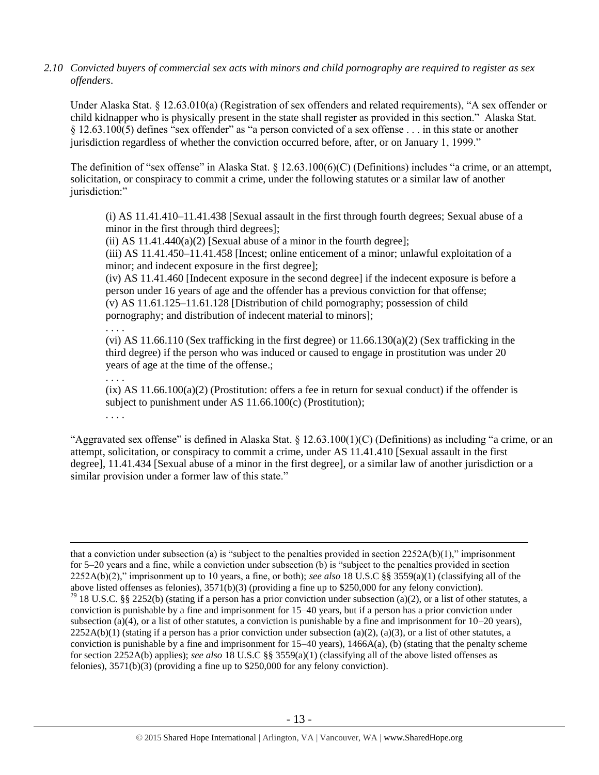*2.10 Convicted buyers of commercial sex acts with minors and child pornography are required to register as sex offenders*.

Under Alaska Stat. § 12.63.010(a) (Registration of sex offenders and related requirements), "A sex offender or child kidnapper who is physically present in the state shall register as provided in this section." Alaska Stat. § 12.63.100(5) defines "sex offender" as "a person convicted of a sex offense . . . in this state or another jurisdiction regardless of whether the conviction occurred before, after, or on January 1, 1999."

The definition of "sex offense" in Alaska Stat. § 12.63.100(6)(C) (Definitions) includes "a crime, or an attempt, solicitation, or conspiracy to commit a crime, under the following statutes or a similar law of another jurisdiction:"

(i) AS 11.41.410–11.41.438 [Sexual assault in the first through fourth degrees; Sexual abuse of a minor in the first through third degrees];

(ii) AS  $11.41.440(a)(2)$  [Sexual abuse of a minor in the fourth degree];

(iii) AS 11.41.450–11.41.458 [Incest; online enticement of a minor; unlawful exploitation of a minor; and indecent exposure in the first degree];

(iv) AS 11.41.460 [Indecent exposure in the second degree] if the indecent exposure is before a person under 16 years of age and the offender has a previous conviction for that offense; (v) AS 11.61.125–11.61.128 [Distribution of child pornography; possession of child pornography; and distribution of indecent material to minors];

. . . . (vi) AS  $11.66.110$  (Sex trafficking in the first degree) or  $11.66.130(a)(2)$  (Sex trafficking in the third degree) if the person who was induced or caused to engage in prostitution was under 20 years of age at the time of the offense.;

. . . .

. . . .

 $\overline{a}$ 

 $(ix)$  AS 11.66.100(a)(2) (Prostitution: offers a fee in return for sexual conduct) if the offender is subject to punishment under AS 11.66.100(c) (Prostitution);

"Aggravated sex offense" is defined in Alaska Stat. § 12.63.100(1)(C) (Definitions) as including "a crime, or an attempt, solicitation, or conspiracy to commit a crime, under AS 11.41.410 [Sexual assault in the first degree], 11.41.434 [Sexual abuse of a minor in the first degree], or a similar law of another jurisdiction or a similar provision under a former law of this state."

that a conviction under subsection (a) is "subject to the penalties provided in section  $2252A(b)(1)$ ," imprisonment for 5–20 years and a fine, while a conviction under subsection (b) is "subject to the penalties provided in section 2252A(b)(2)," imprisonment up to 10 years, a fine, or both); *see also* 18 U.S.C §§ 3559(a)(1) (classifying all of the above listed offenses as felonies), 3571(b)(3) (providing a fine up to \$250,000 for any felony conviction). <sup>29</sup> 18 U.S.C. §§ 2252(b) (stating if a person has a prior conviction under subsection (a)(2), or a list of other statutes, a conviction is punishable by a fine and imprisonment for 15–40 years, but if a person has a prior conviction under subsection (a)(4), or a list of other statutes, a conviction is punishable by a fine and imprisonment for  $10-20$  years),  $2252A(b)(1)$  (stating if a person has a prior conviction under subsection (a)(2), (a)(3), or a list of other statutes, a conviction is punishable by a fine and imprisonment for  $15-40$  years),  $1466A(a)$ , (b) (stating that the penalty scheme for section 2252A(b) applies); *see also* 18 U.S.C §§ 3559(a)(1) (classifying all of the above listed offenses as felonies), 3571(b)(3) (providing a fine up to \$250,000 for any felony conviction).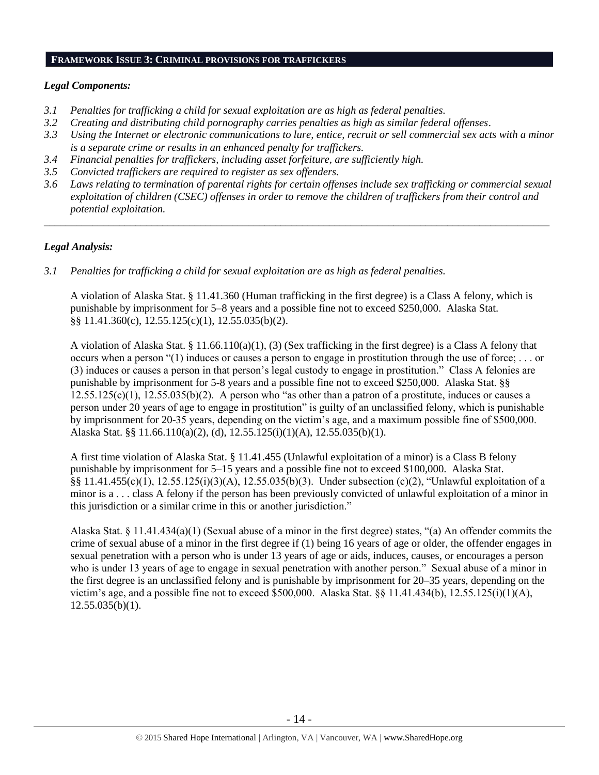#### **FRAMEWORK ISSUE 3: CRIMINAL PROVISIONS FOR TRAFFICKERS**

# *Legal Components:*

- *3.1 Penalties for trafficking a child for sexual exploitation are as high as federal penalties.*
- *3.2 Creating and distributing child pornography carries penalties as high as similar federal offenses*.
- *3.3 Using the Internet or electronic communications to lure, entice, recruit or sell commercial sex acts with a minor is a separate crime or results in an enhanced penalty for traffickers.*
- *3.4 Financial penalties for traffickers, including asset forfeiture, are sufficiently high.*
- *3.5 Convicted traffickers are required to register as sex offenders.*
- *3.6 Laws relating to termination of parental rights for certain offenses include sex trafficking or commercial sexual exploitation of children (CSEC) offenses in order to remove the children of traffickers from their control and potential exploitation.*

*\_\_\_\_\_\_\_\_\_\_\_\_\_\_\_\_\_\_\_\_\_\_\_\_\_\_\_\_\_\_\_\_\_\_\_\_\_\_\_\_\_\_\_\_\_\_\_\_\_\_\_\_\_\_\_\_\_\_\_\_\_\_\_\_\_\_\_\_\_\_\_\_\_\_\_\_\_\_\_\_\_\_\_\_\_\_\_\_\_\_\_\_\_\_*

# *Legal Analysis:*

*3.1 Penalties for trafficking a child for sexual exploitation are as high as federal penalties.* 

A violation of Alaska Stat. § 11.41.360 (Human trafficking in the first degree) is a Class A felony, which is punishable by imprisonment for 5–8 years and a possible fine not to exceed \$250,000. Alaska Stat. §§ 11.41.360(c), 12.55.125(c)(1), 12.55.035(b)(2).

A violation of Alaska Stat. § 11.66.110(a)(1), (3) (Sex trafficking in the first degree) is a Class A felony that occurs when a person "(1) induces or causes a person to engage in prostitution through the use of force; . . . or (3) induces or causes a person in that person's legal custody to engage in prostitution." Class A felonies are punishable by imprisonment for 5-8 years and a possible fine not to exceed \$250,000. Alaska Stat. §§  $12.55.125(c)(1)$ ,  $12.55.035(b)(2)$ . A person who "as other than a patron of a prostitute, induces or causes a person under 20 years of age to engage in prostitution" is guilty of an unclassified felony, which is punishable by imprisonment for 20-35 years, depending on the victim's age, and a maximum possible fine of \$500,000. Alaska Stat. §§ 11.66.110(a)(2), (d), 12.55.125(i)(1)(A), 12.55.035(b)(1).

A first time violation of Alaska Stat. § 11.41.455 (Unlawful exploitation of a minor) is a Class B felony punishable by imprisonment for 5–15 years and a possible fine not to exceed \$100,000. Alaska Stat. §§ 11.41.455(c)(1), 12.55.125(i)(3)(A), 12.55.035(b)(3). Under subsection (c)(2), "Unlawful exploitation of a minor is a . . . class A felony if the person has been previously convicted of unlawful exploitation of a minor in this jurisdiction or a similar crime in this or another jurisdiction."

Alaska Stat. § 11.41.434(a)(1) (Sexual abuse of a minor in the first degree) states, "(a) An offender commits the crime of sexual abuse of a minor in the first degree if (1) being 16 years of age or older, the offender engages in sexual penetration with a person who is under 13 years of age or aids, induces, causes, or encourages a person who is under 13 years of age to engage in sexual penetration with another person." Sexual abuse of a minor in the first degree is an unclassified felony and is punishable by imprisonment for 20–35 years, depending on the victim's age, and a possible fine not to exceed \$500,000. Alaska Stat. §§ 11.41.434(b), 12.55.125(i)(1)(A),  $12.55.035(b)(1)$ .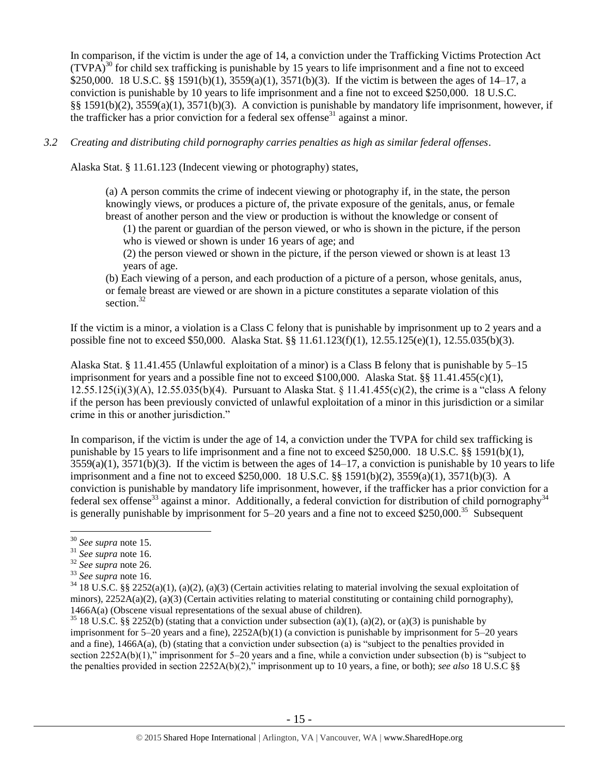In comparison, if the victim is under the age of 14, a conviction under the Trafficking Victims Protection Act  $(TVPA)<sup>30</sup>$  for child sex trafficking is punishable by 15 years to life imprisonment and a fine not to exceed \$250,000. 18 U.S.C. §§ 1591(b)(1), 3559(a)(1), 3571(b)(3). If the victim is between the ages of 14–17, a conviction is punishable by 10 years to life imprisonment and a fine not to exceed \$250,000. 18 U.S.C. §§ 1591(b)(2), 3559(a)(1), 3571(b)(3). A conviction is punishable by mandatory life imprisonment, however, if the trafficker has a prior conviction for a federal sex offense<sup>31</sup> against a minor.

*3.2 Creating and distributing child pornography carries penalties as high as similar federal offenses*.

Alaska Stat. § 11.61.123 (Indecent viewing or photography) states,

(a) A person commits the crime of indecent viewing or photography if, in the state, the person knowingly views, or produces a picture of, the private exposure of the genitals, anus, or female breast of another person and the view or production is without the knowledge or consent of

(1) the parent or guardian of the person viewed, or who is shown in the picture, if the person who is viewed or shown is under 16 years of age; and

(2) the person viewed or shown in the picture, if the person viewed or shown is at least 13 years of age.

(b) Each viewing of a person, and each production of a picture of a person, whose genitals, anus, or female breast are viewed or are shown in a picture constitutes a separate violation of this section.<sup>32</sup>

If the victim is a minor, a violation is a Class C felony that is punishable by imprisonment up to 2 years and a possible fine not to exceed \$50,000. Alaska Stat. §§ 11.61.123(f)(1), 12.55.125(e)(1), 12.55.035(b)(3).

Alaska Stat. § 11.41.455 (Unlawful exploitation of a minor) is a Class B felony that is punishable by 5–15 imprisonment for years and a possible fine not to exceed \$100,000. Alaska Stat. §§ 11.41.455(c)(1), 12.55.125(i)(3)(A), 12.55.035(b)(4). Pursuant to Alaska Stat. § 11.41.455(c)(2), the crime is a "class A felony if the person has been previously convicted of unlawful exploitation of a minor in this jurisdiction or a similar crime in this or another jurisdiction."

In comparison, if the victim is under the age of 14, a conviction under the TVPA for child sex trafficking is punishable by 15 years to life imprisonment and a fine not to exceed \$250,000. 18 U.S.C. §§ 1591(b)(1),  $3559(a)(1)$ ,  $3571(b)(3)$ . If the victim is between the ages of  $14-17$ , a conviction is punishable by 10 years to life imprisonment and a fine not to exceed \$250,000. 18 U.S.C. §§ 1591(b)(2), 3559(a)(1), 3571(b)(3). A conviction is punishable by mandatory life imprisonment, however, if the trafficker has a prior conviction for a federal sex offense<sup>33</sup> against a minor. Additionally, a federal conviction for distribution of child pornography<sup>34</sup> is generally punishable by imprisonment for 5–20 years and a fine not to exceed \$250,000.<sup>35</sup> Subsequent

<sup>30</sup> *See supra* note [15.](#page-7-0)

<sup>31</sup> *See supra* note [16.](#page-7-1)

<sup>32</sup> *See supra* note [26.](#page-11-0)

<sup>33</sup> *See supra* note [16.](#page-7-1)

 $34\,18$  U.S.C. §§ 2252(a)(1), (a)(2), (a)(3) (Certain activities relating to material involving the sexual exploitation of minors),  $2252A(a)(2)$ ,  $(a)(3)$  (Certain activities relating to material constituting or containing child pornography), 1466A(a) (Obscene visual representations of the sexual abuse of children).

<sup>&</sup>lt;sup>35</sup> 18 U.S.C. §§ 2252(b) (stating that a conviction under subsection (a)(1), (a)(2), or (a)(3) is punishable by imprisonment for  $5-20$  years and a fine),  $2252A(b)(1)$  (a conviction is punishable by imprisonment for  $5-20$  years and a fine), 1466A(a), (b) (stating that a conviction under subsection (a) is "subject to the penalties provided in section 2252A(b)(1)," imprisonment for 5–20 years and a fine, while a conviction under subsection (b) is "subject to the penalties provided in section 2252A(b)(2)," imprisonment up to 10 years, a fine, or both); *see also* 18 U.S.C §§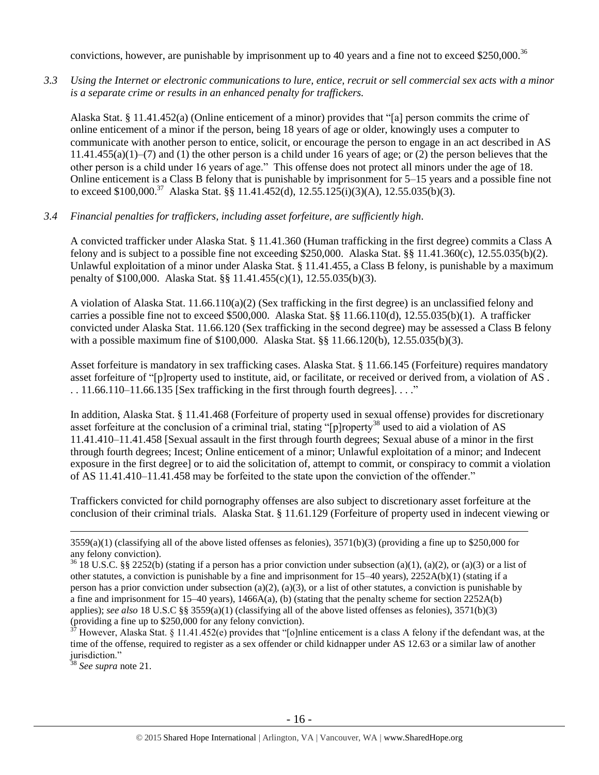convictions, however, are punishable by imprisonment up to 40 years and a fine not to exceed \$250,000.<sup>36</sup>

*3.3 Using the Internet or electronic communications to lure, entice, recruit or sell commercial sex acts with a minor is a separate crime or results in an enhanced penalty for traffickers.*

Alaska Stat. § 11.41.452(a) (Online enticement of a minor) provides that "[a] person commits the crime of online enticement of a minor if the person, being 18 years of age or older, knowingly uses a computer to communicate with another person to entice, solicit, or encourage the person to engage in an act described in AS  $11.41.455(a)(1)$ –(7) and (1) the other person is a child under 16 years of age; or (2) the person believes that the other person is a child under 16 years of age." This offense does not protect all minors under the age of 18. Online enticement is a Class B felony that is punishable by imprisonment for 5–15 years and a possible fine not to exceed \$100,000.<sup>37</sup> Alaska Stat. §§ 11.41.452(d), 12.55.125(i)(3)(A), 12.55.035(b)(3).

## *3.4 Financial penalties for traffickers, including asset forfeiture, are sufficiently high*.

A convicted trafficker under Alaska Stat. § 11.41.360 (Human trafficking in the first degree) commits a Class A felony and is subject to a possible fine not exceeding \$250,000. Alaska Stat. §§ 11.41.360(c), 12.55.035(b)(2). Unlawful exploitation of a minor under Alaska Stat. § 11.41.455, a Class B felony, is punishable by a maximum penalty of \$100,000. Alaska Stat. §§ 11.41.455(c)(1), 12.55.035(b)(3).

A violation of Alaska Stat.  $11.66.110(a)(2)$  (Sex trafficking in the first degree) is an unclassified felony and carries a possible fine not to exceed \$500,000. Alaska Stat. §§ 11.66.110(d), 12.55.035(b)(1). A trafficker convicted under Alaska Stat. 11.66.120 (Sex trafficking in the second degree) may be assessed a Class B felony with a possible maximum fine of \$100,000. Alaska Stat. §§ 11.66.120(b), 12.55.035(b)(3).

Asset forfeiture is mandatory in sex trafficking cases. Alaska Stat. § 11.66.145 (Forfeiture) requires mandatory asset forfeiture of "[p]roperty used to institute, aid, or facilitate, or received or derived from, a violation of AS .  $\ldots$  11.66.110–11.66.135 [Sex trafficking in the first through fourth degrees].  $\ldots$ ."

In addition, Alaska Stat. § 11.41.468 (Forfeiture of property used in sexual offense) provides for discretionary asset forfeiture at the conclusion of a criminal trial, stating "[p]roperty<sup>38</sup> used to aid a violation of AS 11.41.410–11.41.458 [Sexual assault in the first through fourth degrees; Sexual abuse of a minor in the first through fourth degrees; Incest; Online enticement of a minor; Unlawful exploitation of a minor; and Indecent exposure in the first degree] or to aid the solicitation of, attempt to commit, or conspiracy to commit a violation of AS 11.41.410–11.41.458 may be forfeited to the state upon the conviction of the offender."

Traffickers convicted for child pornography offenses are also subject to discretionary asset forfeiture at the conclusion of their criminal trials. Alaska Stat. § 11.61.129 (Forfeiture of property used in indecent viewing or

<sup>38</sup> *See supra* note [21.](#page-10-0)

 $3559(a)(1)$  (classifying all of the above listed offenses as felonies),  $3571(b)(3)$  (providing a fine up to \$250,000 for any felony conviction).

 $36\overline{18}$  U.S.C. §§ 2252(b) (stating if a person has a prior conviction under subsection (a)(1), (a)(2), or (a)(3) or a list of other statutes, a conviction is punishable by a fine and imprisonment for 15–40 years), 2252A(b)(1) (stating if a person has a prior conviction under subsection (a)(2), (a)(3), or a list of other statutes, a conviction is punishable by a fine and imprisonment for  $15-40$  years),  $1466A(a)$ , (b) (stating that the penalty scheme for section 2252A(b) applies); *see also* 18 U.S.C §§ 3559(a)(1) (classifying all of the above listed offenses as felonies), 3571(b)(3) (providing a fine up to \$250,000 for any felony conviction).

However, Alaska Stat. § 11.41.452(e) provides that "[o]nline enticement is a class A felony if the defendant was, at the time of the offense, required to register as a sex offender or child kidnapper under AS 12.63 or a similar law of another jurisdiction."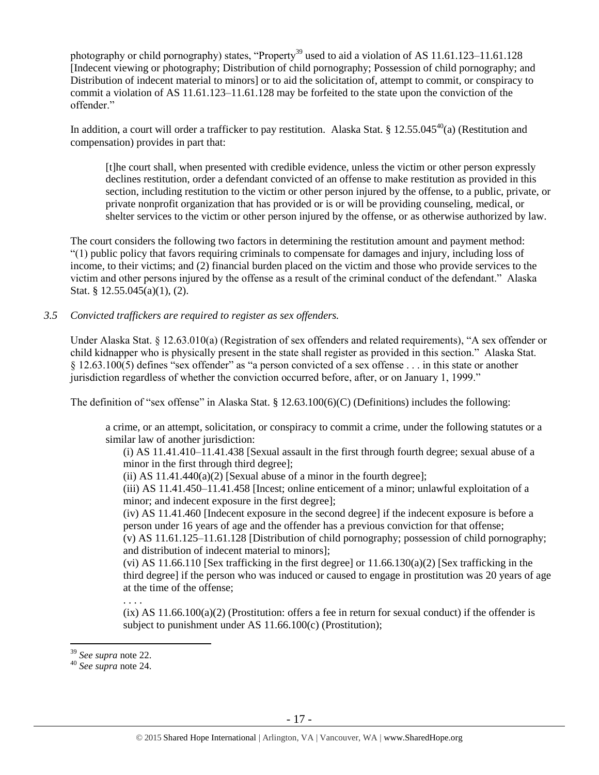photography or child pornography) states, "Property<sup>39</sup> used to aid a violation of AS 11.61.123–11.61.128 [Indecent viewing or photography; Distribution of child pornography; Possession of child pornography; and Distribution of indecent material to minors] or to aid the solicitation of, attempt to commit, or conspiracy to commit a violation of AS 11.61.123–11.61.128 may be forfeited to the state upon the conviction of the offender."

In addition, a court will order a trafficker to pay restitution. Alaska Stat. § 12.55.045<sup>40</sup>(a) (Restitution and compensation) provides in part that:

[t]he court shall, when presented with credible evidence, unless the victim or other person expressly declines restitution, order a defendant convicted of an offense to make restitution as provided in this section, including restitution to the victim or other person injured by the offense, to a public, private, or private nonprofit organization that has provided or is or will be providing counseling, medical, or shelter services to the victim or other person injured by the offense, or as otherwise authorized by law.

The court considers the following two factors in determining the restitution amount and payment method: "(1) public policy that favors requiring criminals to compensate for damages and injury, including loss of income, to their victims; and (2) financial burden placed on the victim and those who provide services to the victim and other persons injured by the offense as a result of the criminal conduct of the defendant." Alaska Stat. § 12.55.045(a)(1), (2).

# *3.5 Convicted traffickers are required to register as sex offenders.*

Under Alaska Stat. § 12.63.010(a) (Registration of sex offenders and related requirements), "A sex offender or child kidnapper who is physically present in the state shall register as provided in this section." Alaska Stat. § 12.63.100(5) defines "sex offender" as "a person convicted of a sex offense . . . in this state or another jurisdiction regardless of whether the conviction occurred before, after, or on January 1, 1999."

The definition of "sex offense" in Alaska Stat. § 12.63.100(6)(C) (Definitions) includes the following:

a crime, or an attempt, solicitation, or conspiracy to commit a crime, under the following statutes or a similar law of another jurisdiction:

(i) AS 11.41.410–11.41.438 [Sexual assault in the first through fourth degree; sexual abuse of a minor in the first through third degree];

(ii) AS  $11.41.440(a)(2)$  [Sexual abuse of a minor in the fourth degree];

(iii) AS 11.41.450–11.41.458 [Incest; online enticement of a minor; unlawful exploitation of a minor; and indecent exposure in the first degree];

(iv) AS 11.41.460 [Indecent exposure in the second degree] if the indecent exposure is before a person under 16 years of age and the offender has a previous conviction for that offense;

(v) AS 11.61.125–11.61.128 [Distribution of child pornography; possession of child pornography; and distribution of indecent material to minors];

(vi) AS 11.66.110 [Sex trafficking in the first degree] or  $11.66.130(a)(2)$  [Sex trafficking in the third degree] if the person who was induced or caused to engage in prostitution was 20 years of age at the time of the offense;

. . . .  $(ix)$  AS  $11.66.100(a)(2)$  (Prostitution: offers a fee in return for sexual conduct) if the offender is subject to punishment under AS 11.66.100(c) (Prostitution);

<sup>39</sup> *See supra* note [22.](#page-10-1) 

<sup>40</sup> *See supra* note [24.](#page-10-2)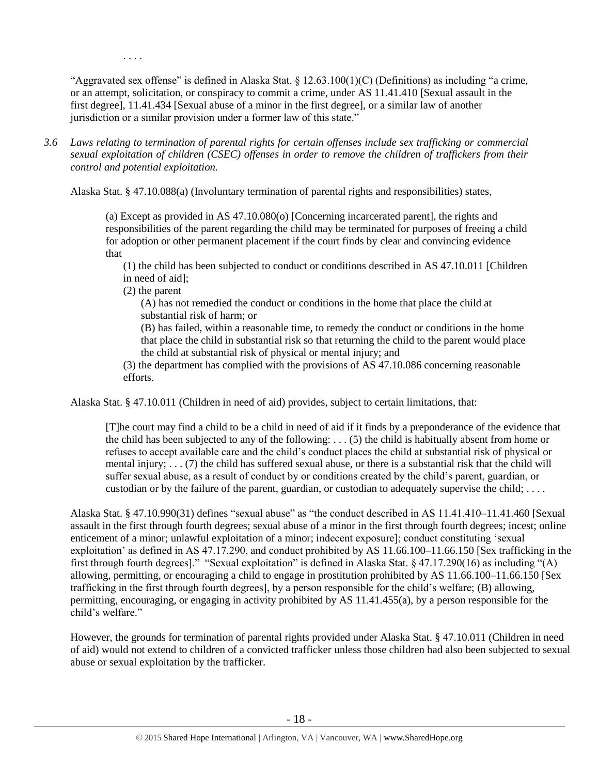"Aggravated sex offense" is defined in Alaska Stat. § 12.63.100(1)(C) (Definitions) as including "a crime, or an attempt, solicitation, or conspiracy to commit a crime, under AS 11.41.410 [Sexual assault in the first degree], 11.41.434 [Sexual abuse of a minor in the first degree], or a similar law of another jurisdiction or a similar provision under a former law of this state."

*3.6 Laws relating to termination of parental rights for certain offenses include sex trafficking or commercial sexual exploitation of children (CSEC) offenses in order to remove the children of traffickers from their control and potential exploitation.* 

Alaska Stat. § 47.10.088(a) (Involuntary termination of parental rights and responsibilities) states,

(a) Except as provided in AS 47.10.080(o) [Concerning incarcerated parent], the rights and responsibilities of the parent regarding the child may be terminated for purposes of freeing a child for adoption or other permanent placement if the court finds by clear and convincing evidence that

(1) the child has been subjected to conduct or conditions described in AS 47.10.011 [Children in need of aid];

(2) the parent

. . . .

(A) has not remedied the conduct or conditions in the home that place the child at substantial risk of harm; or

(B) has failed, within a reasonable time, to remedy the conduct or conditions in the home that place the child in substantial risk so that returning the child to the parent would place the child at substantial risk of physical or mental injury; and

(3) the department has complied with the provisions of AS 47.10.086 concerning reasonable efforts.

Alaska Stat. § 47.10.011 (Children in need of aid) provides, subject to certain limitations, that:

[T]he court may find a child to be a child in need of aid if it finds by a preponderance of the evidence that the child has been subjected to any of the following: . . . (5) the child is habitually absent from home or refuses to accept available care and the child's conduct places the child at substantial risk of physical or mental injury; . . . (7) the child has suffered sexual abuse, or there is a substantial risk that the child will suffer sexual abuse, as a result of conduct by or conditions created by the child's parent, guardian, or custodian or by the failure of the parent, guardian, or custodian to adequately supervise the child;  $\dots$ .

Alaska Stat. § 47.10.990(31) defines "sexual abuse" as "the conduct described in AS 11.41.410–11.41.460 [Sexual assault in the first through fourth degrees; sexual abuse of a minor in the first through fourth degrees; incest; online enticement of a minor; unlawful exploitation of a minor; indecent exposure]; conduct constituting 'sexual exploitation' as defined in AS 47.17.290, and conduct prohibited by AS 11.66.100–11.66.150 [Sex trafficking in the first through fourth degrees]." "Sexual exploitation" is defined in Alaska Stat. § 47.17.290(16) as including "(A) allowing, permitting, or encouraging a child to engage in prostitution prohibited by AS 11.66.100–11.66.150 [Sex trafficking in the first through fourth degrees], by a person responsible for the child's welfare; (B) allowing, permitting, encouraging, or engaging in activity prohibited by AS 11.41.455(a), by a person responsible for the child's welfare."

However, the grounds for termination of parental rights provided under Alaska Stat. § 47.10.011 (Children in need of aid) would not extend to children of a convicted trafficker unless those children had also been subjected to sexual abuse or sexual exploitation by the trafficker.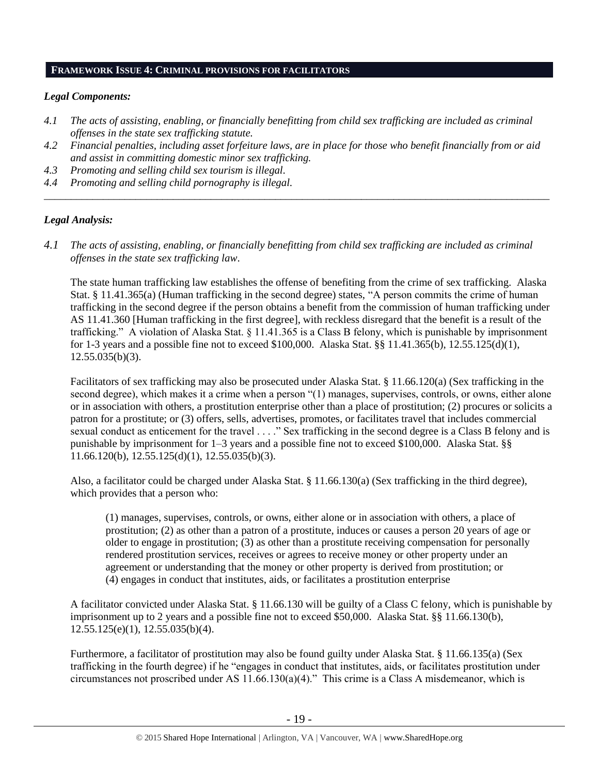# **FRAMEWORK ISSUE 4: CRIMINAL PROVISIONS FOR FACILITATORS**

## *Legal Components:*

- *4.1 The acts of assisting, enabling, or financially benefitting from child sex trafficking are included as criminal offenses in the state sex trafficking statute.*
- *4.2 Financial penalties, including asset forfeiture laws, are in place for those who benefit financially from or aid and assist in committing domestic minor sex trafficking.*

*\_\_\_\_\_\_\_\_\_\_\_\_\_\_\_\_\_\_\_\_\_\_\_\_\_\_\_\_\_\_\_\_\_\_\_\_\_\_\_\_\_\_\_\_\_\_\_\_\_\_\_\_\_\_\_\_\_\_\_\_\_\_\_\_\_\_\_\_\_\_\_\_\_\_\_\_\_\_\_\_\_\_\_\_\_\_\_\_\_\_\_\_\_\_*

- *4.3 Promoting and selling child sex tourism is illegal.*
- *4.4 Promoting and selling child pornography is illegal.*

# *Legal Analysis:*

*4.1 The acts of assisting, enabling, or financially benefitting from child sex trafficking are included as criminal offenses in the state sex trafficking law*.

The state human trafficking law establishes the offense of benefiting from the crime of sex trafficking. Alaska Stat. § 11.41.365(a) (Human trafficking in the second degree) states, "A person commits the crime of human trafficking in the second degree if the person obtains a benefit from the commission of human trafficking under AS 11.41.360 [Human trafficking in the first degree], with reckless disregard that the benefit is a result of the trafficking." A violation of Alaska Stat. § 11.41.365 is a Class B felony, which is punishable by imprisonment for 1-3 years and a possible fine not to exceed \$100,000. Alaska Stat. §§ 11.41.365(b), 12.55.125(d)(1),  $12.55.035(b)(3)$ .

Facilitators of sex trafficking may also be prosecuted under Alaska Stat. § 11.66.120(a) (Sex trafficking in the second degree), which makes it a crime when a person "(1) manages, supervises, controls, or owns, either alone or in association with others, a prostitution enterprise other than a place of prostitution; (2) procures or solicits a patron for a prostitute; or (3) offers, sells, advertises, promotes, or facilitates travel that includes commercial sexual conduct as enticement for the travel . . . ." Sex trafficking in the second degree is a Class B felony and is punishable by imprisonment for 1–3 years and a possible fine not to exceed \$100,000. Alaska Stat. §§ 11.66.120(b), 12.55.125(d)(1), 12.55.035(b)(3).

Also, a facilitator could be charged under Alaska Stat. § 11.66.130(a) (Sex trafficking in the third degree), which provides that a person who:

(1) manages, supervises, controls, or owns, either alone or in association with others, a place of prostitution; (2) as other than a patron of a prostitute, induces or causes a person 20 years of age or older to engage in prostitution; (3) as other than a prostitute receiving compensation for personally rendered prostitution services, receives or agrees to receive money or other property under an agreement or understanding that the money or other property is derived from prostitution; or (4) engages in conduct that institutes, aids, or facilitates a prostitution enterprise

A facilitator convicted under Alaska Stat. § 11.66.130 will be guilty of a Class C felony, which is punishable by imprisonment up to 2 years and a possible fine not to exceed \$50,000. Alaska Stat. §§ 11.66.130(b), 12.55.125(e)(1), 12.55.035(b)(4).

Furthermore, a facilitator of prostitution may also be found guilty under Alaska Stat. § 11.66.135(a) (Sex trafficking in the fourth degree) if he "engages in conduct that institutes, aids, or facilitates prostitution under circumstances not proscribed under AS 11.66.130(a)(4)." This crime is a Class A misdemeanor, which is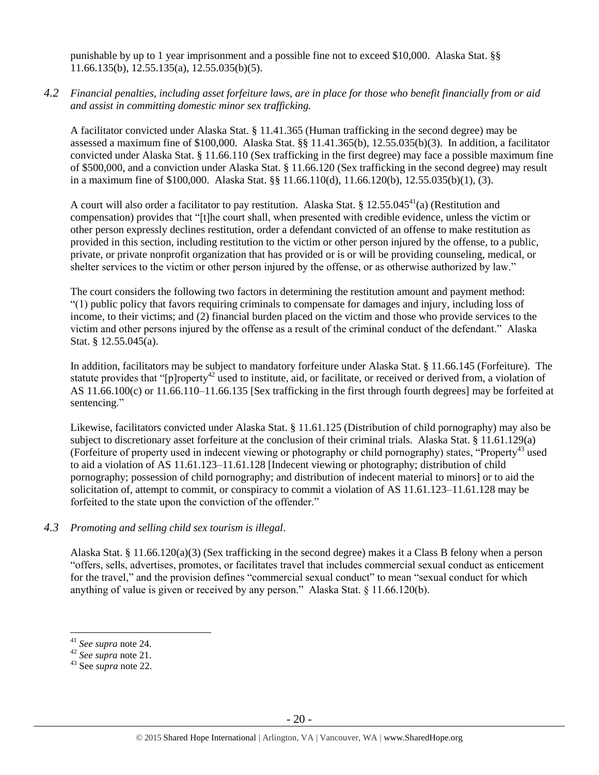punishable by up to 1 year imprisonment and a possible fine not to exceed \$10,000. Alaska Stat. §§ 11.66.135(b), 12.55.135(a), 12.55.035(b)(5).

*4.2 Financial penalties, including asset forfeiture laws, are in place for those who benefit financially from or aid and assist in committing domestic minor sex trafficking.*

A facilitator convicted under Alaska Stat. § 11.41.365 (Human trafficking in the second degree) may be assessed a maximum fine of \$100,000. Alaska Stat. §§ 11.41.365(b), 12.55.035(b)(3). In addition, a facilitator convicted under Alaska Stat. § 11.66.110 (Sex trafficking in the first degree) may face a possible maximum fine of \$500,000, and a conviction under Alaska Stat. § 11.66.120 (Sex trafficking in the second degree) may result in a maximum fine of \$100,000. Alaska Stat. §§ 11.66.110(d), 11.66.120(b), 12.55.035(b)(1), (3).

A court will also order a facilitator to pay restitution. Alaska Stat. § 12.55.045<sup>41</sup>(a) (Restitution and compensation) provides that "[t]he court shall, when presented with credible evidence, unless the victim or other person expressly declines restitution, order a defendant convicted of an offense to make restitution as provided in this section, including restitution to the victim or other person injured by the offense, to a public, private, or private nonprofit organization that has provided or is or will be providing counseling, medical, or shelter services to the victim or other person injured by the offense, or as otherwise authorized by law."

The court considers the following two factors in determining the restitution amount and payment method: "(1) public policy that favors requiring criminals to compensate for damages and injury, including loss of income, to their victims; and (2) financial burden placed on the victim and those who provide services to the victim and other persons injured by the offense as a result of the criminal conduct of the defendant." Alaska Stat. § 12.55.045(a).

In addition, facilitators may be subject to mandatory forfeiture under Alaska Stat. § 11.66.145 (Forfeiture). The statute provides that "[p]roperty<sup>42</sup> used to institute, aid, or facilitate, or received or derived from, a violation of AS 11.66.100(c) or 11.66.110–11.66.135 [Sex trafficking in the first through fourth degrees] may be forfeited at sentencing."

Likewise, facilitators convicted under Alaska Stat. § 11.61.125 (Distribution of child pornography) may also be subject to discretionary asset forfeiture at the conclusion of their criminal trials. Alaska Stat. § 11.61.129(a) (Forfeiture of property used in indecent viewing or photography or child pornography) states, "Property<sup>43</sup> used to aid a violation of AS 11.61.123–11.61.128 [Indecent viewing or photography; distribution of child pornography; possession of child pornography; and distribution of indecent material to minors] or to aid the solicitation of, attempt to commit, or conspiracy to commit a violation of AS 11.61.123–11.61.128 may be forfeited to the state upon the conviction of the offender."

# *4.3 Promoting and selling child sex tourism is illegal*.

Alaska Stat. § 11.66.120(a)(3) (Sex trafficking in the second degree) makes it a Class B felony when a person "offers, sells, advertises, promotes, or facilitates travel that includes commercial sexual conduct as enticement for the travel," and the provision defines "commercial sexual conduct" to mean "sexual conduct for which anything of value is given or received by any person." Alaska Stat. § 11.66.120(b).

<sup>41</sup> *See supra* note [24.](#page-10-2)

<sup>42</sup> *See supra* note [21.](#page-10-0)

<sup>43</sup> See *supra* note [22.](#page-10-1)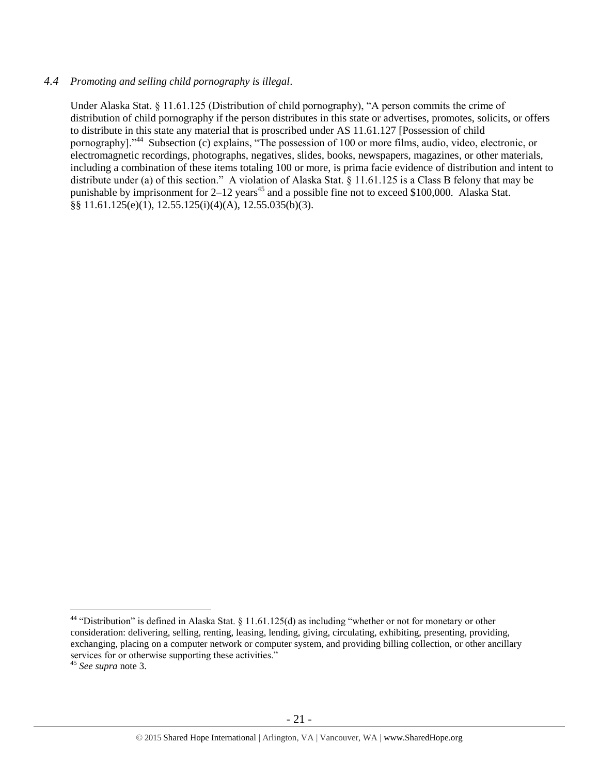## *4.4 Promoting and selling child pornography is illegal*.

Under Alaska Stat. § 11.61.125 (Distribution of child pornography), "A person commits the crime of distribution of child pornography if the person distributes in this state or advertises, promotes, solicits, or offers to distribute in this state any material that is proscribed under AS 11.61.127 [Possession of child pornography]."<sup>44</sup> Subsection (c) explains, "The possession of 100 or more films, audio, video, electronic, or electromagnetic recordings, photographs, negatives, slides, books, newspapers, magazines, or other materials, including a combination of these items totaling 100 or more, is prima facie evidence of distribution and intent to distribute under (a) of this section." A violation of Alaska Stat. § 11.61.125 is a Class B felony that may be punishable by imprisonment for  $2-12$  years<sup>45</sup> and a possible fine not to exceed \$100,000. Alaska Stat. §§ 11.61.125(e)(1), 12.55.125(i)(4)(A), 12.55.035(b)(3).

 $44$  "Distribution" is defined in Alaska Stat. § 11.61.125(d) as including "whether or not for monetary or other consideration: delivering, selling, renting, leasing, lending, giving, circulating, exhibiting, presenting, providing, exchanging, placing on a computer network or computer system, and providing billing collection, or other ancillary services for or otherwise supporting these activities."

<sup>45</sup> *See supra* note [3.](#page-1-0)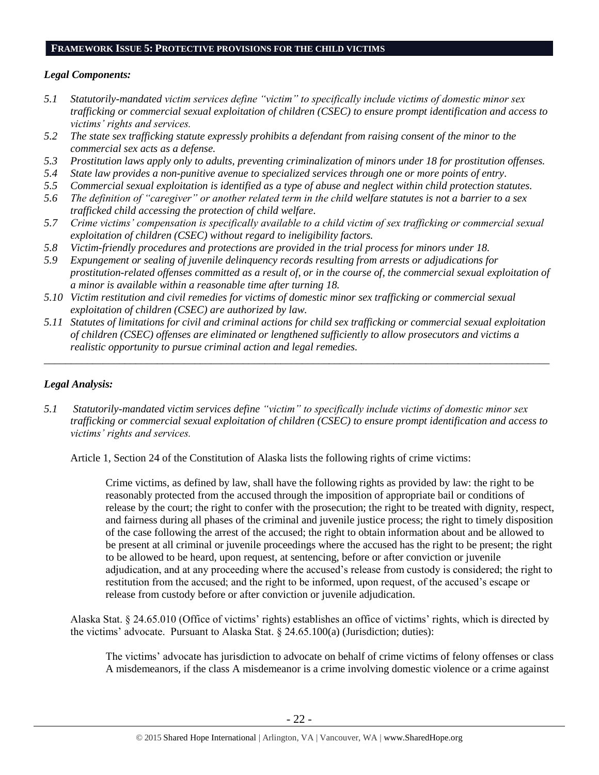#### **FRAMEWORK ISSUE 5: PROTECTIVE PROVISIONS FOR THE CHILD VICTIMS**

## *Legal Components:*

- *5.1 Statutorily-mandated victim services define "victim" to specifically include victims of domestic minor sex trafficking or commercial sexual exploitation of children (CSEC) to ensure prompt identification and access to victims' rights and services.*
- *5.2 The state sex trafficking statute expressly prohibits a defendant from raising consent of the minor to the commercial sex acts as a defense.*
- *5.3 Prostitution laws apply only to adults, preventing criminalization of minors under 18 for prostitution offenses.*
- *5.4 State law provides a non-punitive avenue to specialized services through one or more points of entry.*
- *5.5 Commercial sexual exploitation is identified as a type of abuse and neglect within child protection statutes.*
- *5.6 The definition of "caregiver" or another related term in the child welfare statutes is not a barrier to a sex trafficked child accessing the protection of child welfare.*
- *5.7 Crime victims' compensation is specifically available to a child victim of sex trafficking or commercial sexual exploitation of children (CSEC) without regard to ineligibility factors.*
- *5.8 Victim-friendly procedures and protections are provided in the trial process for minors under 18.*
- *5.9 Expungement or sealing of juvenile delinquency records resulting from arrests or adjudications for prostitution-related offenses committed as a result of, or in the course of, the commercial sexual exploitation of a minor is available within a reasonable time after turning 18.*
- *5.10 Victim restitution and civil remedies for victims of domestic minor sex trafficking or commercial sexual exploitation of children (CSEC) are authorized by law.*
- *5.11 Statutes of limitations for civil and criminal actions for child sex trafficking or commercial sexual exploitation of children (CSEC) offenses are eliminated or lengthened sufficiently to allow prosecutors and victims a realistic opportunity to pursue criminal action and legal remedies.*

*\_\_\_\_\_\_\_\_\_\_\_\_\_\_\_\_\_\_\_\_\_\_\_\_\_\_\_\_\_\_\_\_\_\_\_\_\_\_\_\_\_\_\_\_\_\_\_\_\_\_\_\_\_\_\_\_\_\_\_\_\_\_\_\_\_\_\_\_\_\_\_\_\_\_\_\_\_\_\_\_\_\_\_\_\_\_\_\_\_\_\_\_\_\_*

# *Legal Analysis:*

*5.1 Statutorily-mandated victim services define "victim" to specifically include victims of domestic minor sex trafficking or commercial sexual exploitation of children (CSEC) to ensure prompt identification and access to victims' rights and services.*

Article 1, Section 24 of the Constitution of Alaska lists the following rights of crime victims:

Crime victims, as defined by law, shall have the following rights as provided by law: the right to be reasonably protected from the accused through the imposition of appropriate bail or conditions of release by the court; the right to confer with the prosecution; the right to be treated with dignity, respect, and fairness during all phases of the criminal and juvenile justice process; the right to timely disposition of the case following the arrest of the accused; the right to obtain information about and be allowed to be present at all criminal or juvenile proceedings where the accused has the right to be present; the right to be allowed to be heard, upon request, at sentencing, before or after conviction or juvenile adjudication, and at any proceeding where the accused's release from custody is considered; the right to restitution from the accused; and the right to be informed, upon request, of the accused's escape or release from custody before or after conviction or juvenile adjudication.

Alaska Stat. § 24.65.010 (Office of victims' rights) establishes an office of victims' rights, which is directed by the victims' advocate. Pursuant to Alaska Stat. § 24.65.100(a) (Jurisdiction; duties):

The victims' advocate has jurisdiction to advocate on behalf of crime victims of felony offenses or class A misdemeanors, if the class A misdemeanor is a crime involving domestic violence or a crime against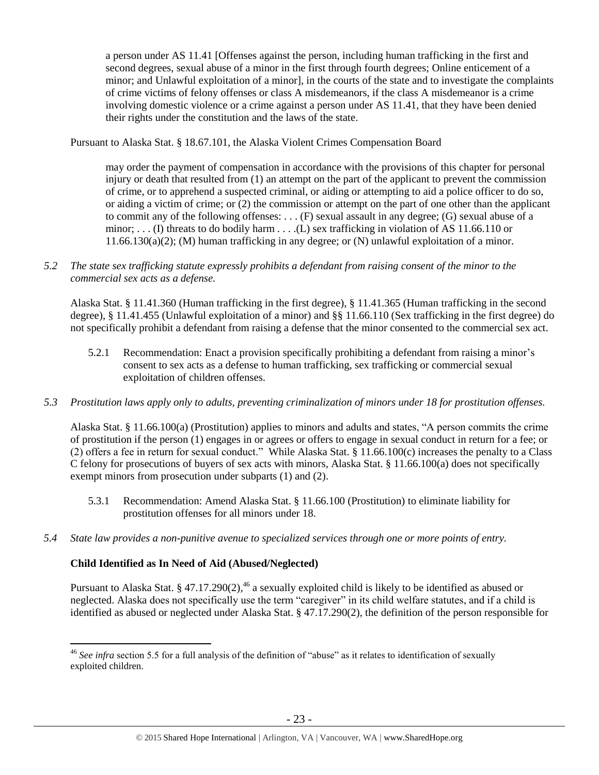a person under AS 11.41 [Offenses against the person, including human trafficking in the first and second degrees, sexual abuse of a minor in the first through fourth degrees; Online enticement of a minor; and Unlawful exploitation of a minor], in the courts of the state and to investigate the complaints of crime victims of felony offenses or class A misdemeanors, if the class A misdemeanor is a crime involving domestic violence or a crime against a person under AS 11.41, that they have been denied their rights under the constitution and the laws of the state.

Pursuant to Alaska Stat. § 18.67.101, the Alaska Violent Crimes Compensation Board

may order the payment of compensation in accordance with the provisions of this chapter for personal injury or death that resulted from (1) an attempt on the part of the applicant to prevent the commission of crime, or to apprehend a suspected criminal, or aiding or attempting to aid a police officer to do so, or aiding a victim of crime; or (2) the commission or attempt on the part of one other than the applicant to commit any of the following offenses: . . . (F) sexual assault in any degree; (G) sexual abuse of a minor; ... (I) threats to do bodily harm ... ... (L) sex trafficking in violation of AS 11.66.110 or 11.66.130(a)(2); (M) human trafficking in any degree; or (N) unlawful exploitation of a minor.

*5.2 The state sex trafficking statute expressly prohibits a defendant from raising consent of the minor to the commercial sex acts as a defense.*

Alaska Stat. § 11.41.360 (Human trafficking in the first degree), § 11.41.365 (Human trafficking in the second degree), § 11.41.455 (Unlawful exploitation of a minor) and §§ 11.66.110 (Sex trafficking in the first degree) do not specifically prohibit a defendant from raising a defense that the minor consented to the commercial sex act.

- 5.2.1 Recommendation: Enact a provision specifically prohibiting a defendant from raising a minor's consent to sex acts as a defense to human trafficking, sex trafficking or commercial sexual exploitation of children offenses.
- *5.3 Prostitution laws apply only to adults, preventing criminalization of minors under 18 for prostitution offenses.*

Alaska Stat. § 11.66.100(a) (Prostitution) applies to minors and adults and states, "A person commits the crime of prostitution if the person (1) engages in or agrees or offers to engage in sexual conduct in return for a fee; or (2) offers a fee in return for sexual conduct." While Alaska Stat. § 11.66.100(c) increases the penalty to a Class C felony for prosecutions of buyers of sex acts with minors, Alaska Stat. § 11.66.100(a) does not specifically exempt minors from prosecution under subparts (1) and (2).

- 5.3.1 Recommendation: Amend Alaska Stat. § 11.66.100 (Prostitution) to eliminate liability for prostitution offenses for all minors under 18.
- *5.4 State law provides a non-punitive avenue to specialized services through one or more points of entry.*

# **Child Identified as In Need of Aid (Abused/Neglected)**

 $\overline{a}$ 

Pursuant to Alaska Stat. § 47.17.290(2),<sup>46</sup> a sexually exploited child is likely to be identified as abused or neglected. Alaska does not specifically use the term "caregiver" in its child welfare statutes, and if a child is identified as abused or neglected under Alaska Stat. § 47.17.290(2), the definition of the person responsible for

<sup>46</sup> *See infra* section 5.5 for a full analysis of the definition of "abuse" as it relates to identification of sexually exploited children.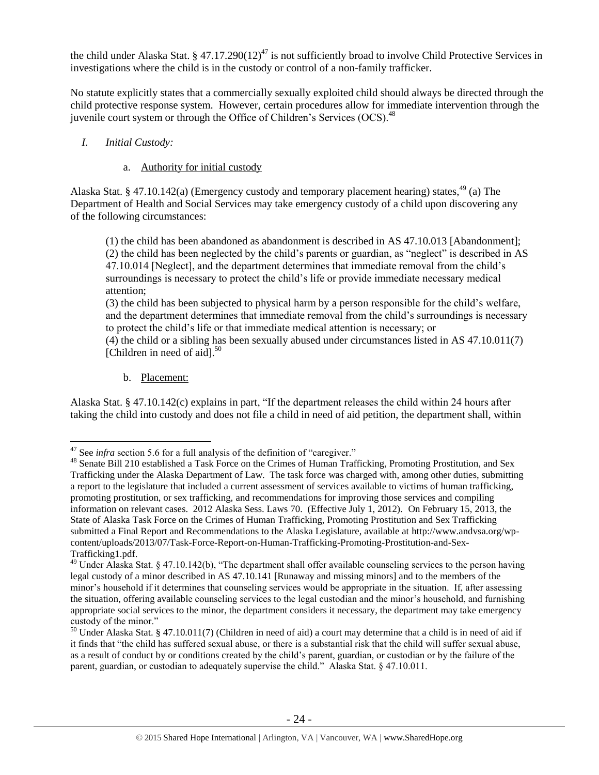the child under Alaska Stat. § 47.17.290(12)<sup>47</sup> is not sufficiently broad to involve Child Protective Services in investigations where the child is in the custody or control of a non-family trafficker.

No statute explicitly states that a commercially sexually exploited child should always be directed through the child protective response system. However, certain procedures allow for immediate intervention through the juvenile court system or through the Office of Children's Services  $(OCS)$ <sup>48</sup>

# *I. Initial Custody:*

## a. Authority for initial custody

Alaska Stat. § 47.10.142(a) (Emergency custody and temporary placement hearing) states, <sup>49</sup> (a) The Department of Health and Social Services may take emergency custody of a child upon discovering any of the following circumstances:

(1) the child has been abandoned as abandonment is described in AS 47.10.013 [Abandonment]; (2) the child has been neglected by the child's parents or guardian, as "neglect" is described in AS 47.10.014 [Neglect], and the department determines that immediate removal from the child's surroundings is necessary to protect the child's life or provide immediate necessary medical attention;

(3) the child has been subjected to physical harm by a person responsible for the child's welfare, and the department determines that immediate removal from the child's surroundings is necessary to protect the child's life or that immediate medical attention is necessary; or

(4) the child or a sibling has been sexually abused under circumstances listed in AS 47.10.011(7) [Children in need of aid]. $50$ 

b. Placement:

 $\overline{a}$ 

Alaska Stat. § 47.10.142(c) explains in part, "If the department releases the child within 24 hours after taking the child into custody and does not file a child in need of aid petition, the department shall, within

<sup>&</sup>lt;sup>47</sup> See *infra* section 5.6 for a full analysis of the definition of "caregiver."

<sup>&</sup>lt;sup>48</sup> Senate Bill 210 established a Task Force on the Crimes of Human Trafficking, Promoting Prostitution, and Sex Trafficking under the Alaska Department of Law. The task force was charged with, among other duties, submitting a report to the legislature that included a current assessment of services available to victims of human trafficking, promoting prostitution, or sex trafficking, and recommendations for improving those services and compiling information on relevant cases. 2012 Alaska Sess. Laws 70. (Effective July 1, 2012). On February 15, 2013, the State of Alaska Task Force on the Crimes of Human Trafficking, Promoting Prostitution and Sex Trafficking submitted a Final Report and Recommendations to the Alaska Legislature, available at http://www.andvsa.org/wpcontent/uploads/2013/07/Task-Force-Report-on-Human-Trafficking-Promoting-Prostitution-and-Sex-Trafficking1.pdf.

<sup>&</sup>lt;sup>49</sup> Under Alaska Stat. § 47.10.142(b), "The department shall offer available counseling services to the person having legal custody of a minor described in AS 47.10.141 [Runaway and missing minors] and to the members of the minor's household if it determines that counseling services would be appropriate in the situation. If, after assessing the situation, offering available counseling services to the legal custodian and the minor's household, and furnishing appropriate social services to the minor, the department considers it necessary, the department may take emergency custody of the minor."

<sup>50</sup> Under Alaska Stat. § 47.10.011(7) (Children in need of aid) a court may determine that a child is in need of aid if it finds that "the child has suffered sexual abuse, or there is a substantial risk that the child will suffer sexual abuse, as a result of conduct by or conditions created by the child's parent, guardian, or custodian or by the failure of the parent, guardian, or custodian to adequately supervise the child." Alaska Stat. § 47.10.011.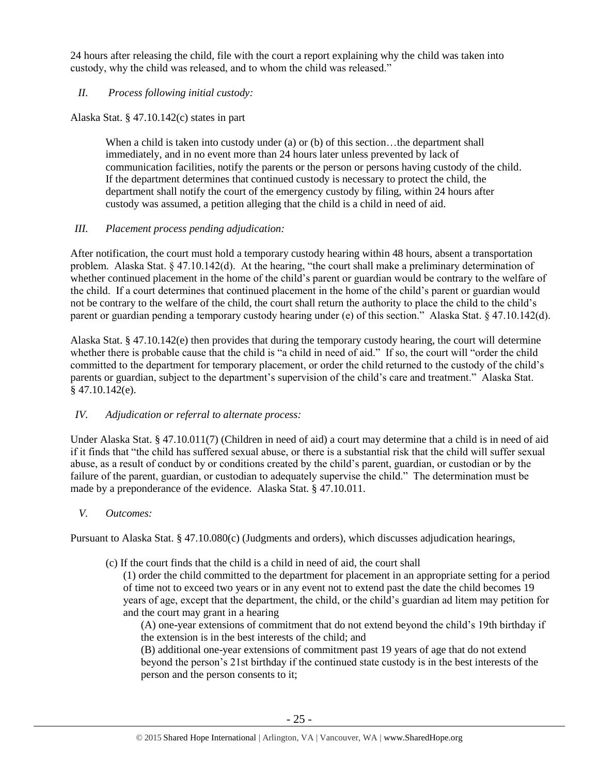24 hours after releasing the child, file with the court a report explaining why the child was taken into custody, why the child was released, and to whom the child was released."

## *II. Process following initial custody:*

Alaska Stat. § 47.10.142(c) states in part

When a child is taken into custody under (a) or (b) of this section...the department shall immediately, and in no event more than 24 hours later unless prevented by lack of communication facilities, notify the parents or the person or persons having custody of the child. If the department determines that continued custody is necessary to protect the child, the department shall notify the court of the emergency custody by filing, within 24 hours after custody was assumed, a petition alleging that the child is a child in need of aid.

# *III. Placement process pending adjudication:*

After notification, the court must hold a temporary custody hearing within 48 hours, absent a transportation problem. Alaska Stat. § 47.10.142(d). At the hearing, "the court shall make a preliminary determination of whether continued placement in the home of the child's parent or guardian would be contrary to the welfare of the child. If a court determines that continued placement in the home of the child's parent or guardian would not be contrary to the welfare of the child, the court shall return the authority to place the child to the child's parent or guardian pending a temporary custody hearing under (e) of this section." Alaska Stat. § 47.10.142(d).

Alaska Stat. § 47.10.142(e) then provides that during the temporary custody hearing, the court will determine whether there is probable cause that the child is "a child in need of aid." If so, the court will "order the child committed to the department for temporary placement, or order the child returned to the custody of the child's parents or guardian, subject to the department's supervision of the child's care and treatment." Alaska Stat.  $§$  47.10.142(e).

# *IV. Adjudication or referral to alternate process:*

Under Alaska Stat. § 47.10.011(7) (Children in need of aid) a court may determine that a child is in need of aid if it finds that "the child has suffered sexual abuse, or there is a substantial risk that the child will suffer sexual abuse, as a result of conduct by or conditions created by the child's parent, guardian, or custodian or by the failure of the parent, guardian, or custodian to adequately supervise the child." The determination must be made by a preponderance of the evidence. Alaska Stat. § 47.10.011.

*V. Outcomes:*

Pursuant to Alaska Stat. § 47.10.080(c) (Judgments and orders), which discusses adjudication hearings,

(c) If the court finds that the child is a child in need of aid, the court shall

(1) order the child committed to the department for placement in an appropriate setting for a period of time not to exceed two years or in any event not to extend past the date the child becomes 19 years of age, except that the department, the child, or the child's guardian ad litem may petition for and the court may grant in a hearing

(A) one-year extensions of commitment that do not extend beyond the child's 19th birthday if the extension is in the best interests of the child; and

(B) additional one-year extensions of commitment past 19 years of age that do not extend beyond the person's 21st birthday if the continued state custody is in the best interests of the person and the person consents to it;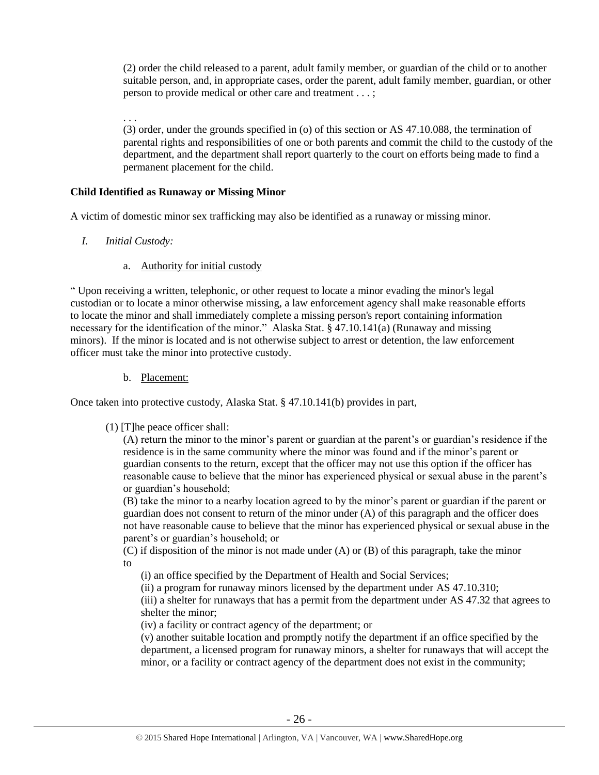(2) order the child released to a parent, adult family member, or guardian of the child or to another suitable person, and, in appropriate cases, order the parent, adult family member, guardian, or other person to provide medical or other care and treatment . . . ;

. . . (3) order, under the grounds specified in (o) of this section or AS 47.10.088, the termination of parental rights and responsibilities of one or both parents and commit the child to the custody of the department, and the department shall report quarterly to the court on efforts being made to find a permanent placement for the child.

#### **Child Identified as Runaway or Missing Minor**

A victim of domestic minor sex trafficking may also be identified as a runaway or missing minor.

- *I. Initial Custody:* 
	- a. Authority for initial custody

" Upon receiving a written, telephonic, or other request to locate a minor evading the minor's legal custodian or to locate a minor otherwise missing, a law enforcement agency shall make reasonable efforts to locate the minor and shall immediately complete a missing person's report containing information necessary for the identification of the minor." Alaska Stat. § 47.10.141(a) (Runaway and missing minors). If the minor is located and is not otherwise subject to arrest or detention, the law enforcement officer must take the minor into protective custody.

b. Placement:

Once taken into protective custody, Alaska Stat. § 47.10.141(b) provides in part,

## (1) [T]he peace officer shall:

(A) return the minor to the minor's parent or guardian at the parent's or guardian's residence if the residence is in the same community where the minor was found and if the minor's parent or guardian consents to the return, except that the officer may not use this option if the officer has reasonable cause to believe that the minor has experienced physical or sexual abuse in the parent's or guardian's household;

(B) take the minor to a nearby location agreed to by the minor's parent or guardian if the parent or guardian does not consent to return of the minor under (A) of this paragraph and the officer does not have reasonable cause to believe that the minor has experienced physical or sexual abuse in the parent's or guardian's household; or

(C) if disposition of the minor is not made under (A) or (B) of this paragraph, take the minor to

(i) an office specified by the Department of Health and Social Services;

(ii) a program for runaway minors licensed by the department under AS 47.10.310;

(iii) a shelter for runaways that has a permit from the department under AS 47.32 that agrees to shelter the minor;

(iv) a facility or contract agency of the department; or

(v) another suitable location and promptly notify the department if an office specified by the department, a licensed program for runaway minors, a shelter for runaways that will accept the minor, or a facility or contract agency of the department does not exist in the community;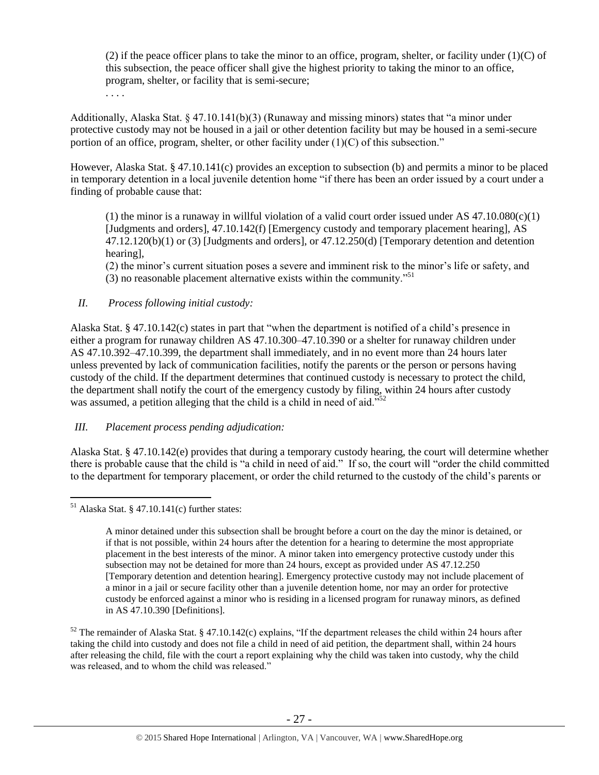(2) if the peace officer plans to take the minor to an office, program, shelter, or facility under (1)(C) of this subsection, the peace officer shall give the highest priority to taking the minor to an office, program, shelter, or facility that is semi-secure; . . . .

Additionally, Alaska Stat. § 47.10.141(b)(3) (Runaway and missing minors) states that "a minor under protective custody may not be housed in a jail or other detention facility but may be housed in a semi-secure portion of an office, program, shelter, or other facility under  $(1)(C)$  of this subsection."

However, Alaska Stat. § 47.10.141(c) provides an exception to subsection (b) and permits a minor to be placed in temporary detention in a local juvenile detention home "if there has been an order issued by a court under a finding of probable cause that:

(1) the minor is a runaway in willful violation of a valid court order issued under AS  $47.10.080(c)(1)$ [Judgments and orders], 47.10.142(f) [Emergency custody and temporary placement hearing], AS 47.12.120(b)(1) or (3) [Judgments and orders], or 47.12.250(d) [Temporary detention and detention hearing],

(2) the minor's current situation poses a severe and imminent risk to the minor's life or safety, and (3) no reasonable placement alternative exists within the community.<sup> $51$ </sup>

# *II. Process following initial custody:*

Alaska Stat. § 47.10.142(c) states in part that "when the department is notified of a child's presence in either a program for runaway children AS 47.10.300–47.10.390 or a shelter for runaway children under AS 47.10.392–47.10.399, the department shall immediately, and in no event more than 24 hours later unless prevented by lack of communication facilities, notify the parents or the person or persons having custody of the child. If the department determines that continued custody is necessary to protect the child, the department shall notify the court of the emergency custody by filing, within 24 hours after custody was assumed, a petition alleging that the child is a child in need of aid."<sup>52</sup>

## *III. Placement process pending adjudication:*

Alaska Stat. § 47.10.142(e) provides that during a temporary custody hearing, the court will determine whether there is probable cause that the child is "a child in need of aid." If so, the court will "order the child committed to the department for temporary placement, or order the child returned to the custody of the child's parents or

 $51$  Alaska Stat. § 47.10.141(c) further states:

A minor detained under this subsection shall be brought before a court on the day the minor is detained, or if that is not possible, within 24 hours after the detention for a hearing to determine the most appropriate placement in the best interests of the minor. A minor taken into emergency protective custody under this subsection may not be detained for more than 24 hours, except as provided under AS 47.12.250 [Temporary detention and detention hearing]. Emergency protective custody may not include placement of a minor in a jail or secure facility other than a juvenile detention home, nor may an order for protective custody be enforced against a minor who is residing in a licensed program for runaway minors, as defined in AS 47.10.390 [Definitions].

 $52$  The remainder of Alaska Stat. § 47.10.142(c) explains, "If the department releases the child within 24 hours after taking the child into custody and does not file a child in need of aid petition, the department shall, within 24 hours after releasing the child, file with the court a report explaining why the child was taken into custody, why the child was released, and to whom the child was released."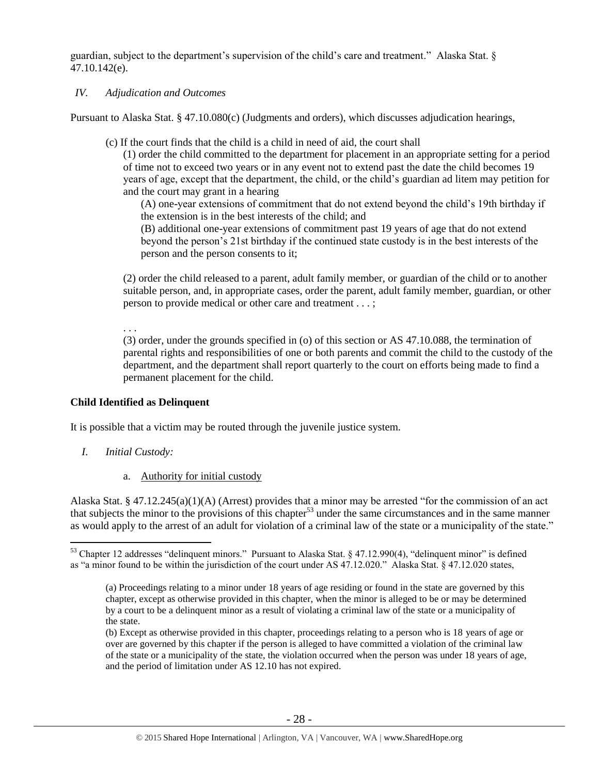guardian, subject to the department's supervision of the child's care and treatment." Alaska Stat. § 47.10.142(e).

## *IV. Adjudication and Outcomes*

Pursuant to Alaska Stat. § 47.10.080(c) (Judgments and orders), which discusses adjudication hearings,

(c) If the court finds that the child is a child in need of aid, the court shall

(1) order the child committed to the department for placement in an appropriate setting for a period of time not to exceed two years or in any event not to extend past the date the child becomes 19 years of age, except that the department, the child, or the child's guardian ad litem may petition for and the court may grant in a hearing

(A) one-year extensions of commitment that do not extend beyond the child's 19th birthday if the extension is in the best interests of the child; and

(B) additional one-year extensions of commitment past 19 years of age that do not extend beyond the person's 21st birthday if the continued state custody is in the best interests of the person and the person consents to it;

(2) order the child released to a parent, adult family member, or guardian of the child or to another suitable person, and, in appropriate cases, order the parent, adult family member, guardian, or other person to provide medical or other care and treatment . . . ;

. . .

(3) order, under the grounds specified in (o) of this section or AS 47.10.088, the termination of parental rights and responsibilities of one or both parents and commit the child to the custody of the department, and the department shall report quarterly to the court on efforts being made to find a permanent placement for the child.

## **Child Identified as Delinquent**

It is possible that a victim may be routed through the juvenile justice system.

*I. Initial Custody:* 

 $\overline{a}$ 

a. Authority for initial custody

Alaska Stat. § 47.12.245(a)(1)(A) (Arrest) provides that a minor may be arrested "for the commission of an act that subjects the minor to the provisions of this chapter<sup>53</sup> under the same circumstances and in the same manner as would apply to the arrest of an adult for violation of a criminal law of the state or a municipality of the state."

<sup>53</sup> Chapter 12 addresses "delinquent minors." Pursuant to Alaska Stat. § 47.12.990(4), "delinquent minor" is defined as "a minor found to be within the jurisdiction of the court under AS 47.12.020." Alaska Stat. § 47.12.020 states,

<sup>(</sup>a) Proceedings relating to a minor under 18 years of age residing or found in the state are governed by this chapter, except as otherwise provided in this chapter, when the minor is alleged to be or may be determined by a court to be a delinquent minor as a result of violating a criminal law of the state or a municipality of the state.

<sup>(</sup>b) Except as otherwise provided in this chapter, proceedings relating to a person who is 18 years of age or over are governed by this chapter if the person is alleged to have committed a violation of the criminal law of the state or a municipality of the state, the violation occurred when the person was under 18 years of age, and the period of limitation under AS 12.10 has not expired.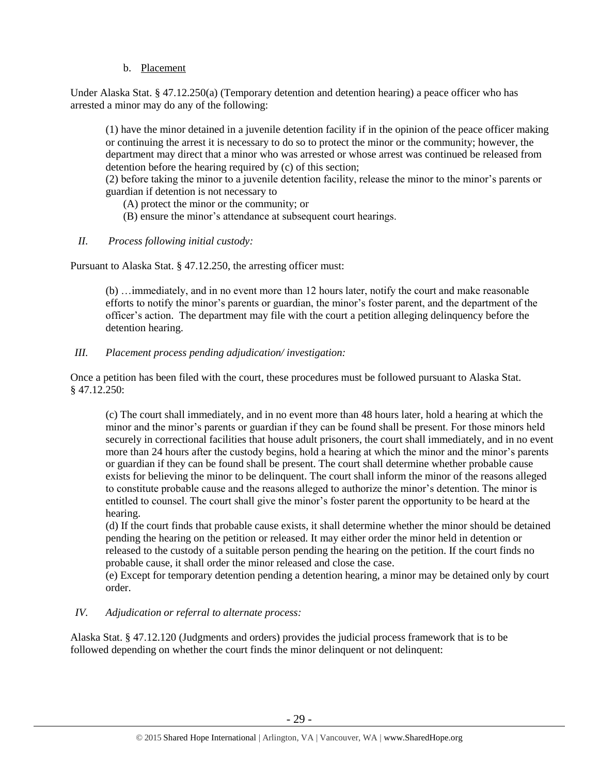# b. Placement

Under Alaska Stat. § 47.12.250(a) (Temporary detention and detention hearing) a peace officer who has arrested a minor may do any of the following:

(1) have the minor detained in a juvenile detention facility if in the opinion of the peace officer making or continuing the arrest it is necessary to do so to protect the minor or the community; however, the department may direct that a minor who was arrested or whose arrest was continued be released from detention before the hearing required by (c) of this section;

(2) before taking the minor to a juvenile detention facility, release the minor to the minor's parents or guardian if detention is not necessary to

- (A) protect the minor or the community; or
- (B) ensure the minor's attendance at subsequent court hearings.
- *II. Process following initial custody:*

Pursuant to Alaska Stat. § 47.12.250, the arresting officer must:

(b) …immediately, and in no event more than 12 hours later, notify the court and make reasonable efforts to notify the minor's parents or guardian, the minor's foster parent, and the department of the officer's action. The department may file with the court a petition alleging delinquency before the detention hearing.

*III. Placement process pending adjudication/ investigation:* 

Once a petition has been filed with the court, these procedures must be followed pursuant to Alaska Stat. § 47.12.250:

(c) The court shall immediately, and in no event more than 48 hours later, hold a hearing at which the minor and the minor's parents or guardian if they can be found shall be present. For those minors held securely in correctional facilities that house adult prisoners, the court shall immediately, and in no event more than 24 hours after the custody begins, hold a hearing at which the minor and the minor's parents or guardian if they can be found shall be present. The court shall determine whether probable cause exists for believing the minor to be delinquent. The court shall inform the minor of the reasons alleged to constitute probable cause and the reasons alleged to authorize the minor's detention. The minor is entitled to counsel. The court shall give the minor's foster parent the opportunity to be heard at the hearing.

(d) If the court finds that probable cause exists, it shall determine whether the minor should be detained pending the hearing on the petition or released. It may either order the minor held in detention or released to the custody of a suitable person pending the hearing on the petition. If the court finds no probable cause, it shall order the minor released and close the case.

(e) Except for temporary detention pending a detention hearing, a minor may be detained only by court order.

## *IV. Adjudication or referral to alternate process:*

Alaska Stat. § 47.12.120 (Judgments and orders) provides the judicial process framework that is to be followed depending on whether the court finds the minor delinquent or not delinquent: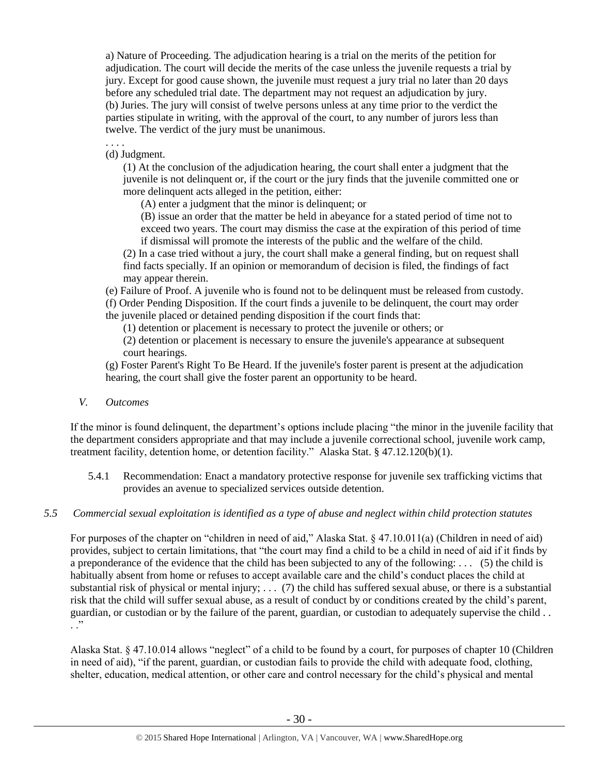a) Nature of Proceeding. The adjudication hearing is a trial on the merits of the petition for adjudication. The court will decide the merits of the case unless the juvenile requests a trial by jury. Except for good cause shown, the juvenile must request a jury trial no later than 20 days before any scheduled trial date. The department may not request an adjudication by jury. (b) Juries. The jury will consist of twelve persons unless at any time prior to the verdict the parties stipulate in writing, with the approval of the court, to any number of jurors less than twelve. The verdict of the jury must be unanimous.

. . . . (d) Judgment.

> (1) At the conclusion of the adjudication hearing, the court shall enter a judgment that the juvenile is not delinquent or, if the court or the jury finds that the juvenile committed one or more delinquent acts alleged in the petition, either:

(A) enter a judgment that the minor is delinquent; or

(B) issue an order that the matter be held in abeyance for a stated period of time not to exceed two years. The court may dismiss the case at the expiration of this period of time if dismissal will promote the interests of the public and the welfare of the child.

(2) In a case tried without a jury, the court shall make a general finding, but on request shall find facts specially. If an opinion or memorandum of decision is filed, the findings of fact may appear therein.

(e) Failure of Proof. A juvenile who is found not to be delinquent must be released from custody.

(f) Order Pending Disposition. If the court finds a juvenile to be delinquent, the court may order the juvenile placed or detained pending disposition if the court finds that:

(1) detention or placement is necessary to protect the juvenile or others; or

(2) detention or placement is necessary to ensure the juvenile's appearance at subsequent court hearings.

(g) Foster Parent's Right To Be Heard. If the juvenile's foster parent is present at the adjudication hearing, the court shall give the foster parent an opportunity to be heard.

*V. Outcomes* 

If the minor is found delinquent, the department's options include placing "the minor in the juvenile facility that the department considers appropriate and that may include a juvenile correctional school, juvenile work camp, treatment facility, detention home, or detention facility." Alaska Stat. § 47.12.120(b)(1).

- 5.4.1 Recommendation: Enact a mandatory protective response for juvenile sex trafficking victims that provides an avenue to specialized services outside detention.
- *5.5 Commercial sexual exploitation is identified as a type of abuse and neglect within child protection statutes*

For purposes of the chapter on "children in need of aid," Alaska Stat. § 47.10.011(a) (Children in need of aid) provides, subject to certain limitations, that "the court may find a child to be a child in need of aid if it finds by a preponderance of the evidence that the child has been subjected to any of the following: . . . (5) the child is habitually absent from home or refuses to accept available care and the child's conduct places the child at substantial risk of physical or mental injury;  $\ldots$  (7) the child has suffered sexual abuse, or there is a substantial risk that the child will suffer sexual abuse, as a result of conduct by or conditions created by the child's parent, guardian, or custodian or by the failure of the parent, guardian, or custodian to adequately supervise the child . .  $\ddots$   $\ddot{\phantom{1}}$ 

Alaska Stat. § 47.10.014 allows "neglect" of a child to be found by a court, for purposes of chapter 10 (Children in need of aid), "if the parent, guardian, or custodian fails to provide the child with adequate food, clothing, shelter, education, medical attention, or other care and control necessary for the child's physical and mental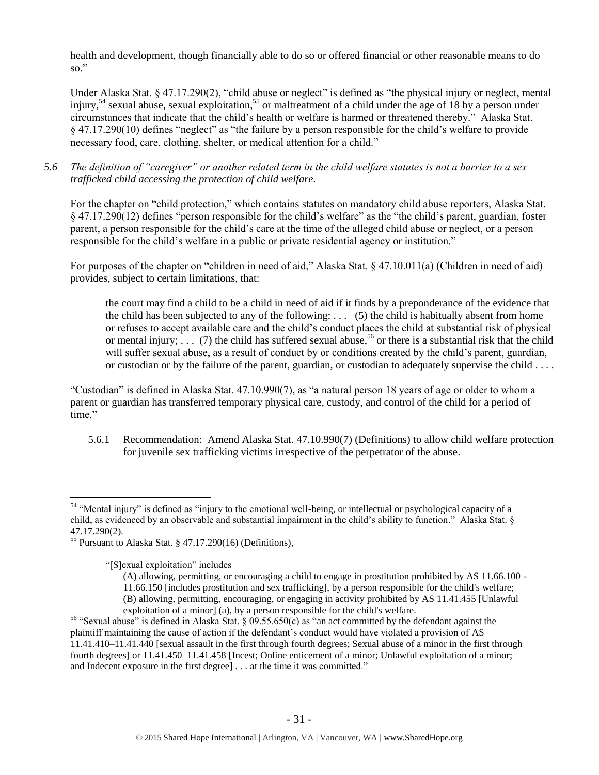health and development, though financially able to do so or offered financial or other reasonable means to do so."

Under Alaska Stat. § 47.17.290(2), "child abuse or neglect" is defined as "the physical injury or neglect, mental injury,<sup>54</sup> sexual abuse, sexual exploitation,<sup>55</sup> or maltreatment of a child under the age of 18 by a person under circumstances that indicate that the child's health or welfare is harmed or threatened thereby." Alaska Stat. § 47.17.290(10) defines "neglect" as "the failure by a person responsible for the child's welfare to provide necessary food, care, clothing, shelter, or medical attention for a child."

*5.6 The definition of "caregiver" or another related term in the child welfare statutes is not a barrier to a sex trafficked child accessing the protection of child welfare.*

For the chapter on "child protection," which contains statutes on mandatory child abuse reporters, Alaska Stat. § 47.17.290(12) defines "person responsible for the child's welfare" as the "the child's parent, guardian, foster parent, a person responsible for the child's care at the time of the alleged child abuse or neglect, or a person responsible for the child's welfare in a public or private residential agency or institution."

For purposes of the chapter on "children in need of aid," Alaska Stat. § 47.10.011(a) (Children in need of aid) provides, subject to certain limitations, that:

<span id="page-30-0"></span>the court may find a child to be a child in need of aid if it finds by a preponderance of the evidence that the child has been subjected to any of the following:  $\ldots$  (5) the child is habitually absent from home or refuses to accept available care and the child's conduct places the child at substantial risk of physical or mental injury;  $\ldots$  (7) the child has suffered sexual abuse,<sup>56</sup> or there is a substantial risk that the child will suffer sexual abuse, as a result of conduct by or conditions created by the child's parent, guardian, or custodian or by the failure of the parent, guardian, or custodian to adequately supervise the child . . . .

"Custodian" is defined in Alaska Stat. 47.10.990(7), as "a natural person 18 years of age or older to whom a parent or guardian has transferred temporary physical care, custody, and control of the child for a period of time."

5.6.1 Recommendation: Amend Alaska Stat. 47.10.990(7) (Definitions) to allow child welfare protection for juvenile sex trafficking victims irrespective of the perpetrator of the abuse.

"[S]exual exploitation" includes

 $\overline{a}$ 

(A) allowing, permitting, or encouraging a child to engage in prostitution prohibited by AS 11.66.100 - 11.66.150 [includes prostitution and sex trafficking], by a person responsible for the child's welfare; (B) allowing, permitting, encouraging, or engaging in activity prohibited by AS 11.41.455 [Unlawful exploitation of a minor] (a), by a person responsible for the child's welfare.

<sup>&</sup>lt;sup>54</sup> "Mental injury" is defined as "injury to the emotional well-being, or intellectual or psychological capacity of a child, as evidenced by an observable and substantial impairment in the child's ability to function." Alaska Stat. § 47.17.290(2).

<sup>55</sup> Pursuant to Alaska Stat. § 47.17.290(16) (Definitions),

<sup>&</sup>lt;sup>56</sup> "Sexual abuse" is defined in Alaska Stat.  $\S$  09.55.650(c) as "an act committed by the defendant against the plaintiff maintaining the cause of action if the defendant's conduct would have violated a provision of AS 11.41.410–11.41.440 [sexual assault in the first through fourth degrees; Sexual abuse of a minor in the first through fourth degrees] or 11.41.450–11.41.458 [Incest; Online enticement of a minor; Unlawful exploitation of a minor; and Indecent exposure in the first degree] . . . at the time it was committed."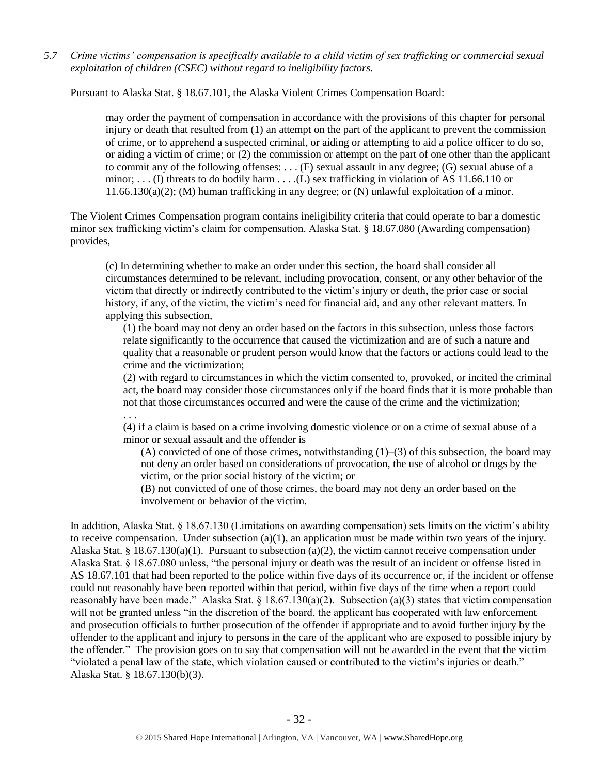*5.7 Crime victims' compensation is specifically available to a child victim of sex trafficking or commercial sexual exploitation of children (CSEC) without regard to ineligibility factors.*

Pursuant to Alaska Stat. § 18.67.101, the Alaska Violent Crimes Compensation Board:

may order the payment of compensation in accordance with the provisions of this chapter for personal injury or death that resulted from (1) an attempt on the part of the applicant to prevent the commission of crime, or to apprehend a suspected criminal, or aiding or attempting to aid a police officer to do so, or aiding a victim of crime; or (2) the commission or attempt on the part of one other than the applicant to commit any of the following offenses: . . . (F) sexual assault in any degree; (G) sexual abuse of a minor; ... (I) threats to do bodily harm ... ... (L) sex trafficking in violation of AS 11.66.110 or 11.66.130(a)(2); (M) human trafficking in any degree; or (N) unlawful exploitation of a minor.

The Violent Crimes Compensation program contains ineligibility criteria that could operate to bar a domestic minor sex trafficking victim's claim for compensation. Alaska Stat. § 18.67.080 (Awarding compensation) provides,

(c) In determining whether to make an order under this section, the board shall consider all circumstances determined to be relevant, including provocation, consent, or any other behavior of the victim that directly or indirectly contributed to the victim's injury or death, the prior case or social history, if any, of the victim, the victim's need for financial aid, and any other relevant matters. In applying this subsection,

(1) the board may not deny an order based on the factors in this subsection, unless those factors relate significantly to the occurrence that caused the victimization and are of such a nature and quality that a reasonable or prudent person would know that the factors or actions could lead to the crime and the victimization;

(2) with regard to circumstances in which the victim consented to, provoked, or incited the criminal act, the board may consider those circumstances only if the board finds that it is more probable than not that those circumstances occurred and were the cause of the crime and the victimization;

. . . (4) if a claim is based on a crime involving domestic violence or on a crime of sexual abuse of a minor or sexual assault and the offender is

(A) convicted of one of those crimes, notwithstanding  $(1)$ –(3) of this subsection, the board may not deny an order based on considerations of provocation, the use of alcohol or drugs by the victim, or the prior social history of the victim; or

(B) not convicted of one of those crimes, the board may not deny an order based on the involvement or behavior of the victim.

In addition, Alaska Stat. § 18.67.130 (Limitations on awarding compensation) sets limits on the victim's ability to receive compensation. Under subsection (a)(1), an application must be made within two years of the injury. Alaska Stat. § 18.67.130(a)(1). Pursuant to subsection (a)(2), the victim cannot receive compensation under Alaska Stat. § 18.67.080 unless, "the personal injury or death was the result of an incident or offense listed in AS 18.67.101 that had been reported to the police within five days of its occurrence or, if the incident or offense could not reasonably have been reported within that period, within five days of the time when a report could reasonably have been made." Alaska Stat. § 18.67.130(a)(2). Subsection (a)(3) states that victim compensation will not be granted unless "in the discretion of the board, the applicant has cooperated with law enforcement and prosecution officials to further prosecution of the offender if appropriate and to avoid further injury by the offender to the applicant and injury to persons in the care of the applicant who are exposed to possible injury by the offender." The provision goes on to say that compensation will not be awarded in the event that the victim "violated a penal law of the state, which violation caused or contributed to the victim's injuries or death." Alaska Stat. § 18.67.130(b)(3).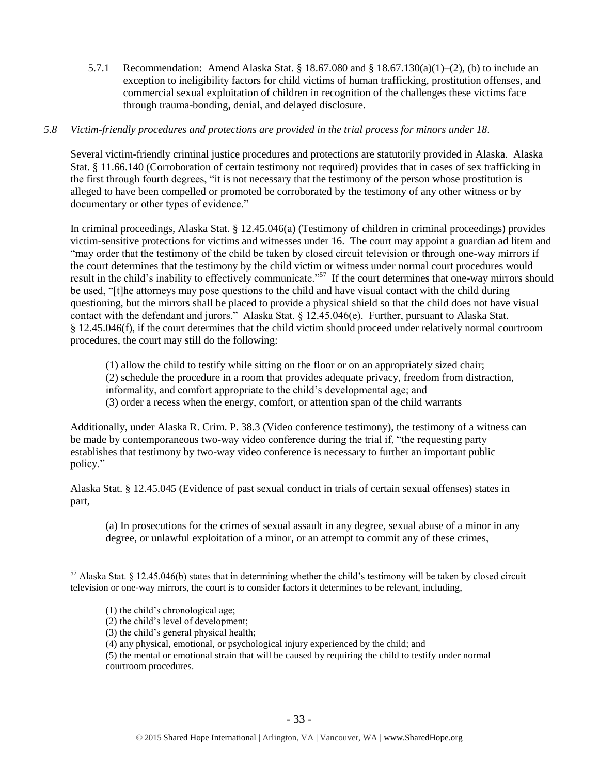5.7.1 Recommendation: Amend Alaska Stat. § 18.67.080 and § 18.67.130(a)(1)–(2), (b) to include an exception to ineligibility factors for child victims of human trafficking, prostitution offenses, and commercial sexual exploitation of children in recognition of the challenges these victims face through trauma-bonding, denial, and delayed disclosure.

## *5.8 Victim-friendly procedures and protections are provided in the trial process for minors under 18.*

Several victim-friendly criminal justice procedures and protections are statutorily provided in Alaska. Alaska Stat. § 11.66.140 (Corroboration of certain testimony not required) provides that in cases of sex trafficking in the first through fourth degrees, "it is not necessary that the testimony of the person whose prostitution is alleged to have been compelled or promoted be corroborated by the testimony of any other witness or by documentary or other types of evidence."

In criminal proceedings, Alaska Stat. § 12.45.046(a) (Testimony of children in criminal proceedings) provides victim-sensitive protections for victims and witnesses under 16. The court may appoint a guardian ad litem and "may order that the testimony of the child be taken by closed circuit television or through one-way mirrors if the court determines that the testimony by the child victim or witness under normal court procedures would result in the child's inability to effectively communicate."<sup>57</sup> If the court determines that one-way mirrors should be used, "[t]he attorneys may pose questions to the child and have visual contact with the child during questioning, but the mirrors shall be placed to provide a physical shield so that the child does not have visual contact with the defendant and jurors." Alaska Stat. § 12.45.046(e). Further, pursuant to Alaska Stat. § 12.45.046(f), if the court determines that the child victim should proceed under relatively normal courtroom procedures, the court may still do the following:

(1) allow the child to testify while sitting on the floor or on an appropriately sized chair; (2) schedule the procedure in a room that provides adequate privacy, freedom from distraction, informality, and comfort appropriate to the child's developmental age; and (3) order a recess when the energy, comfort, or attention span of the child warrants

Additionally, under Alaska R. Crim. P. 38.3 (Video conference testimony), the testimony of a witness can be made by contemporaneous two-way video conference during the trial if, "the requesting party establishes that testimony by two-way video conference is necessary to further an important public policy."

Alaska Stat. § 12.45.045 (Evidence of past sexual conduct in trials of certain sexual offenses) states in part,

(a) In prosecutions for the crimes of sexual assault in any degree, sexual abuse of a minor in any degree, or unlawful exploitation of a minor, or an attempt to commit any of these crimes,

<sup>&</sup>lt;sup>57</sup> Alaska Stat. § 12.45.046(b) states that in determining whether the child's testimony will be taken by closed circuit television or one-way mirrors, the court is to consider factors it determines to be relevant, including,

<sup>(1)</sup> the child's chronological age;

<sup>(2)</sup> the child's level of development;

<sup>(3)</sup> the child's general physical health;

<sup>(4)</sup> any physical, emotional, or psychological injury experienced by the child; and

<sup>(5)</sup> the mental or emotional strain that will be caused by requiring the child to testify under normal courtroom procedures.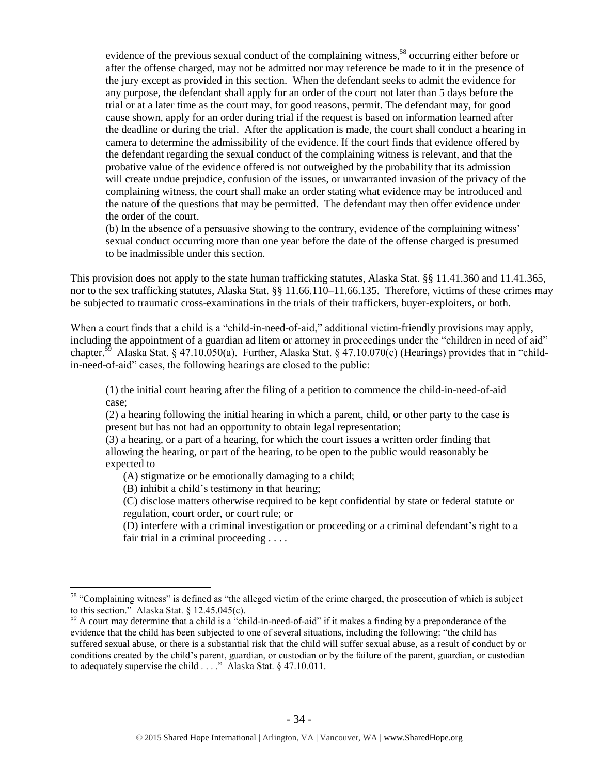evidence of the previous sexual conduct of the complaining witness,<sup>58</sup> occurring either before or after the offense charged, may not be admitted nor may reference be made to it in the presence of the jury except as provided in this section. When the defendant seeks to admit the evidence for any purpose, the defendant shall apply for an order of the court not later than 5 days before the trial or at a later time as the court may, for good reasons, permit. The defendant may, for good cause shown, apply for an order during trial if the request is based on information learned after the deadline or during the trial. After the application is made, the court shall conduct a hearing in camera to determine the admissibility of the evidence. If the court finds that evidence offered by the defendant regarding the sexual conduct of the complaining witness is relevant, and that the probative value of the evidence offered is not outweighed by the probability that its admission will create undue prejudice, confusion of the issues, or unwarranted invasion of the privacy of the complaining witness, the court shall make an order stating what evidence may be introduced and the nature of the questions that may be permitted. The defendant may then offer evidence under the order of the court.

(b) In the absence of a persuasive showing to the contrary, evidence of the complaining witness' sexual conduct occurring more than one year before the date of the offense charged is presumed to be inadmissible under this section.

This provision does not apply to the state human trafficking statutes, Alaska Stat. §§ 11.41.360 and 11.41.365, nor to the sex trafficking statutes, Alaska Stat. §§ 11.66.110–11.66.135. Therefore, victims of these crimes may be subjected to traumatic cross-examinations in the trials of their traffickers, buyer-exploiters, or both.

When a court finds that a child is a "child-in-need-of-aid," additional victim-friendly provisions may apply, including the appointment of a guardian ad litem or attorney in proceedings under the "children in need of aid" chapter.<sup>59</sup> Alaska Stat. § 47.10.050(a). Further, Alaska Stat. § 47.10.070(c) (Hearings) provides that in "childin-need-of-aid" cases, the following hearings are closed to the public:

(1) the initial court hearing after the filing of a petition to commence the child-in-need-of-aid case;

(2) a hearing following the initial hearing in which a parent, child, or other party to the case is present but has not had an opportunity to obtain legal representation;

(3) a hearing, or a part of a hearing, for which the court issues a written order finding that allowing the hearing, or part of the hearing, to be open to the public would reasonably be expected to

(A) stigmatize or be emotionally damaging to a child;

(B) inhibit a child's testimony in that hearing;

 $\overline{a}$ 

(C) disclose matters otherwise required to be kept confidential by state or federal statute or regulation, court order, or court rule; or

(D) interfere with a criminal investigation or proceeding or a criminal defendant's right to a fair trial in a criminal proceeding . . . .

<sup>&</sup>lt;sup>58</sup> "Complaining witness" is defined as "the alleged victim of the crime charged, the prosecution of which is subject to this section." Alaska Stat. § 12.45.045(c).

 $59$  A court may determine that a child is a "child-in-need-of-aid" if it makes a finding by a preponderance of the evidence that the child has been subjected to one of several situations, including the following: "the child has suffered sexual abuse, or there is a substantial risk that the child will suffer sexual abuse, as a result of conduct by or conditions created by the child's parent, guardian, or custodian or by the failure of the parent, guardian, or custodian to adequately supervise the child . . . ." Alaska Stat. § 47.10.011.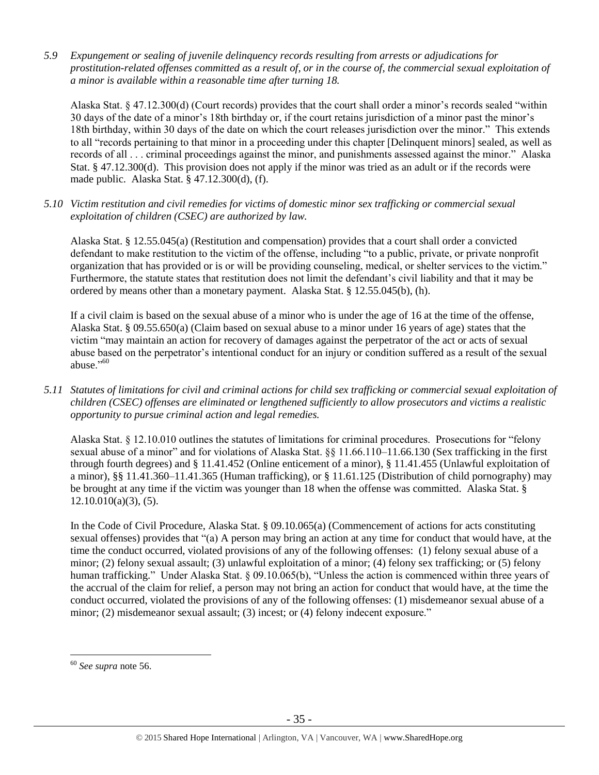*5.9 Expungement or sealing of juvenile delinquency records resulting from arrests or adjudications for prostitution-related offenses committed as a result of, or in the course of, the commercial sexual exploitation of a minor is available within a reasonable time after turning 18.*

Alaska Stat. § 47.12.300(d) (Court records) provides that the court shall order a minor's records sealed "within 30 days of the date of a minor's 18th birthday or, if the court retains jurisdiction of a minor past the minor's 18th birthday, within 30 days of the date on which the court releases jurisdiction over the minor." This extends to all "records pertaining to that minor in a proceeding under this chapter [Delinquent minors] sealed, as well as records of all . . . criminal proceedings against the minor, and punishments assessed against the minor." Alaska Stat. § 47.12.300(d). This provision does not apply if the minor was tried as an adult or if the records were made public. Alaska Stat. § 47.12.300(d), (f).

*5.10 Victim restitution and civil remedies for victims of domestic minor sex trafficking or commercial sexual exploitation of children (CSEC) are authorized by law.* 

Alaska Stat. § 12.55.045(a) (Restitution and compensation) provides that a court shall order a convicted defendant to make restitution to the victim of the offense, including "to a public, private, or private nonprofit organization that has provided or is or will be providing counseling, medical, or shelter services to the victim." Furthermore, the statute states that restitution does not limit the defendant's civil liability and that it may be ordered by means other than a monetary payment. Alaska Stat. § 12.55.045(b), (h).

If a civil claim is based on the sexual abuse of a minor who is under the age of 16 at the time of the offense, Alaska Stat. § 09.55.650(a) (Claim based on sexual abuse to a minor under 16 years of age) states that the victim "may maintain an action for recovery of damages against the perpetrator of the act or acts of sexual abuse based on the perpetrator's intentional conduct for an injury or condition suffered as a result of the sexual abuse $^{0.60}$ 

*5.11 Statutes of limitations for civil and criminal actions for child sex trafficking or commercial sexual exploitation of children (CSEC) offenses are eliminated or lengthened sufficiently to allow prosecutors and victims a realistic opportunity to pursue criminal action and legal remedies.*

Alaska Stat. § 12.10.010 outlines the statutes of limitations for criminal procedures. Prosecutions for "felony sexual abuse of a minor" and for violations of Alaska Stat. §§ 11.66.110–11.66.130 (Sex trafficking in the first through fourth degrees) and § 11.41.452 (Online enticement of a minor), § 11.41.455 (Unlawful exploitation of a minor), §§ 11.41.360–11.41.365 (Human trafficking), or § 11.61.125 (Distribution of child pornography) may be brought at any time if the victim was younger than 18 when the offense was committed. Alaska Stat. §  $12.10.010(a)(3)$ , (5).

In the Code of Civil Procedure, Alaska Stat. § 09.10.065(a) (Commencement of actions for acts constituting sexual offenses) provides that "(a) A person may bring an action at any time for conduct that would have, at the time the conduct occurred, violated provisions of any of the following offenses: (1) felony sexual abuse of a minor; (2) felony sexual assault; (3) unlawful exploitation of a minor; (4) felony sex trafficking; or (5) felony human trafficking." Under Alaska Stat. § 09.10.065(b), "Unless the action is commenced within three years of the accrual of the claim for relief, a person may not bring an action for conduct that would have, at the time the conduct occurred, violated the provisions of any of the following offenses: (1) misdemeanor sexual abuse of a minor; (2) misdemeanor sexual assault; (3) incest; or (4) felony indecent exposure."

<sup>60</sup> *See supra* note [56.](#page-30-0)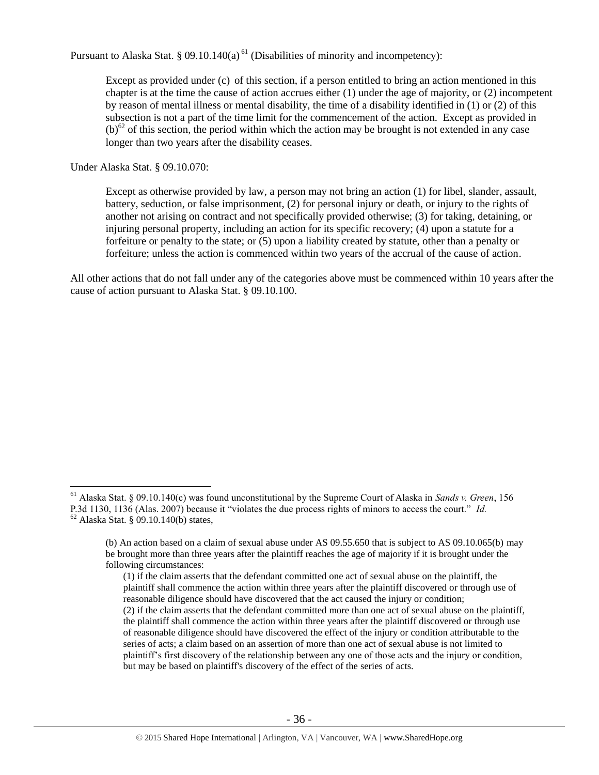Pursuant to Alaska Stat. § 09.10.140(a)<sup> $61$ </sup> (Disabilities of minority and incompetency):

Except as provided under (c) of this section, if a person entitled to bring an action mentioned in this chapter is at the time the cause of action accrues either (1) under the age of majority, or (2) incompetent by reason of mental illness or mental disability, the time of a disability identified in (1) or (2) of this subsection is not a part of the time limit for the commencement of the action. Except as provided in  $(b)^{62}$  of this section, the period within which the action may be brought is not extended in any case longer than two years after the disability ceases.

Under Alaska Stat. § 09.10.070:

 $\overline{a}$ 

Except as otherwise provided by law, a person may not bring an action (1) for libel, slander, assault, battery, seduction, or false imprisonment, (2) for personal injury or death, or injury to the rights of another not arising on contract and not specifically provided otherwise; (3) for taking, detaining, or injuring personal property, including an action for its specific recovery; (4) upon a statute for a forfeiture or penalty to the state; or (5) upon a liability created by statute, other than a penalty or forfeiture; unless the action is commenced within two years of the accrual of the cause of action.

All other actions that do not fall under any of the categories above must be commenced within 10 years after the cause of action pursuant to Alaska Stat. § 09.10.100.

<sup>61</sup> Alaska Stat. § 09.10.140(c) was found unconstitutional by the Supreme Court of Alaska in *Sands v. Green*, 156 P.3d 1130, 1136 (Alas. 2007) because it "violates the due process rights of minors to access the court." *Id.* <sup>62</sup> Alaska Stat. § 09.10.140(b) states,

<sup>(</sup>b) An action based on a claim of sexual abuse under AS 09.55.650 that is subject to AS 09.10.065(b) may be brought more than three years after the plaintiff reaches the age of majority if it is brought under the following circumstances:

<sup>(1)</sup> if the claim asserts that the defendant committed one act of sexual abuse on the plaintiff, the plaintiff shall commence the action within three years after the plaintiff discovered or through use of reasonable diligence should have discovered that the act caused the injury or condition; (2) if the claim asserts that the defendant committed more than one act of sexual abuse on the plaintiff, the plaintiff shall commence the action within three years after the plaintiff discovered or through use of reasonable diligence should have discovered the effect of the injury or condition attributable to the series of acts; a claim based on an assertion of more than one act of sexual abuse is not limited to plaintiff's first discovery of the relationship between any one of those acts and the injury or condition, but may be based on plaintiff's discovery of the effect of the series of acts.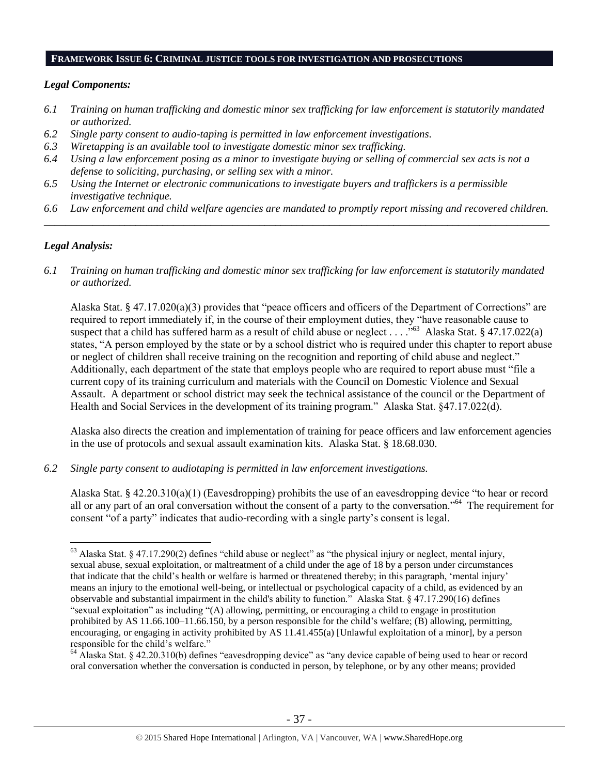#### **FRAMEWORK ISSUE 6: CRIMINAL JUSTICE TOOLS FOR INVESTIGATION AND PROSECUTIONS**

#### *Legal Components:*

- *6.1 Training on human trafficking and domestic minor sex trafficking for law enforcement is statutorily mandated or authorized.*
- *6.2 Single party consent to audio-taping is permitted in law enforcement investigations.*
- *6.3 Wiretapping is an available tool to investigate domestic minor sex trafficking.*
- *6.4 Using a law enforcement posing as a minor to investigate buying or selling of commercial sex acts is not a defense to soliciting, purchasing, or selling sex with a minor.*
- *6.5 Using the Internet or electronic communications to investigate buyers and traffickers is a permissible investigative technique.*
- *6.6 Law enforcement and child welfare agencies are mandated to promptly report missing and recovered children. \_\_\_\_\_\_\_\_\_\_\_\_\_\_\_\_\_\_\_\_\_\_\_\_\_\_\_\_\_\_\_\_\_\_\_\_\_\_\_\_\_\_\_\_\_\_\_\_\_\_\_\_\_\_\_\_\_\_\_\_\_\_\_\_\_\_\_\_\_\_\_\_\_\_\_\_\_\_\_\_\_\_\_\_\_\_\_\_\_\_\_\_\_\_*

## *Legal Analysis:*

 $\overline{a}$ 

*6.1 Training on human trafficking and domestic minor sex trafficking for law enforcement is statutorily mandated or authorized.*

Alaska Stat. § 47.17.020(a)(3) provides that "peace officers and officers of the Department of Corrections" are required to report immediately if, in the course of their employment duties, they "have reasonable cause to suspect that a child has suffered harm as a result of child abuse or neglect ... ..<sup>563</sup> Alaska Stat. § 47.17.022(a) states, "A person employed by the state or by a school district who is required under this chapter to report abuse or neglect of children shall receive training on the recognition and reporting of child abuse and neglect." Additionally, each department of the state that employs people who are required to report abuse must "file a current copy of its training curriculum and materials with the Council on Domestic Violence and Sexual Assault. A department or school district may seek the technical assistance of the council or the Department of Health and Social Services in the development of its training program." Alaska Stat. §47.17.022(d).

Alaska also directs the creation and implementation of training for peace officers and law enforcement agencies in the use of protocols and sexual assault examination kits. Alaska Stat. § 18.68.030.

*6.2 Single party consent to audiotaping is permitted in law enforcement investigations.*

Alaska Stat. § 42.20.310(a)(1) (Eavesdropping) prohibits the use of an eavesdropping device "to hear or record all or any part of an oral conversation without the consent of a party to the conversation."<sup>64</sup> The requirement for consent "of a party" indicates that audio-recording with a single party's consent is legal.

 $63$  Alaska Stat. § 47.17.290(2) defines "child abuse or neglect" as "the physical injury or neglect, mental injury, sexual abuse, sexual exploitation, or maltreatment of a child under the age of 18 by a person under circumstances that indicate that the child's health or welfare is harmed or threatened thereby; in this paragraph, 'mental injury' means an injury to the emotional well-being, or intellectual or psychological capacity of a child, as evidenced by an observable and substantial impairment in the child's ability to function." Alaska Stat. § 47.17.290(16) defines "sexual exploitation" as including "(A) allowing, permitting, or encouraging a child to engage in prostitution prohibited by AS 11.66.100–11.66.150, by a person responsible for the child's welfare; (B) allowing, permitting, encouraging, or engaging in activity prohibited by AS 11.41.455(a) [Unlawful exploitation of a minor], by a person responsible for the child's welfare."

<sup>&</sup>lt;sup>64</sup> Alaska Stat. § 42.20.310(b) defines "eavesdropping device" as "any device capable of being used to hear or record oral conversation whether the conversation is conducted in person, by telephone, or by any other means; provided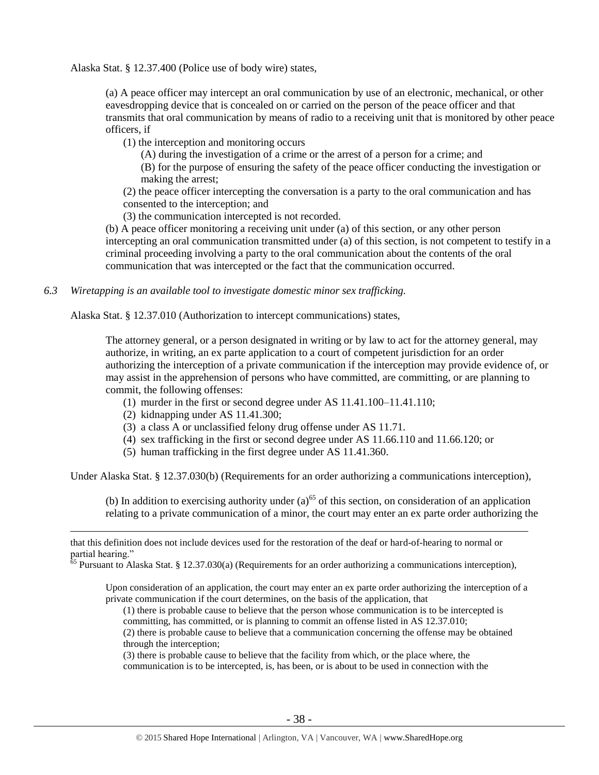Alaska Stat. § 12.37.400 (Police use of body wire) states,

(a) A peace officer may intercept an oral communication by use of an electronic, mechanical, or other eavesdropping device that is concealed on or carried on the person of the peace officer and that transmits that oral communication by means of radio to a receiving unit that is monitored by other peace officers, if

(1) the interception and monitoring occurs

(A) during the investigation of a crime or the arrest of a person for a crime; and

(B) for the purpose of ensuring the safety of the peace officer conducting the investigation or making the arrest;

(2) the peace officer intercepting the conversation is a party to the oral communication and has consented to the interception; and

(3) the communication intercepted is not recorded.

(b) A peace officer monitoring a receiving unit under (a) of this section, or any other person intercepting an oral communication transmitted under (a) of this section, is not competent to testify in a criminal proceeding involving a party to the oral communication about the contents of the oral communication that was intercepted or the fact that the communication occurred.

*6.3 Wiretapping is an available tool to investigate domestic minor sex trafficking.* 

Alaska Stat. § 12.37.010 (Authorization to intercept communications) states,

The attorney general, or a person designated in writing or by law to act for the attorney general, may authorize, in writing, an ex parte application to a court of competent jurisdiction for an order authorizing the interception of a private communication if the interception may provide evidence of, or may assist in the apprehension of persons who have committed, are committing, or are planning to commit, the following offenses:

- (1) murder in the first or second degree under AS 11.41.100–11.41.110;
- (2) kidnapping under AS 11.41.300;

 $\overline{a}$ 

- (3) a class A or unclassified felony drug offense under AS 11.71.
- (4) sex trafficking in the first or second degree under AS 11.66.110 and 11.66.120; or
- (5) human trafficking in the first degree under AS 11.41.360.

Under Alaska Stat. § 12.37.030(b) (Requirements for an order authorizing a communications interception),

(b) In addition to exercising authority under (a)<sup>65</sup> of this section, on consideration of an application relating to a private communication of a minor, the court may enter an ex parte order authorizing the

Upon consideration of an application, the court may enter an ex parte order authorizing the interception of a private communication if the court determines, on the basis of the application, that

(1) there is probable cause to believe that the person whose communication is to be intercepted is committing, has committed, or is planning to commit an offense listed in AS 12.37.010;

(2) there is probable cause to believe that a communication concerning the offense may be obtained through the interception;

(3) there is probable cause to believe that the facility from which, or the place where, the communication is to be intercepted, is, has been, or is about to be used in connection with the

that this definition does not include devices used for the restoration of the deaf or hard-of-hearing to normal or partial hearing."

 $65$  Pursuant to Alaska Stat. § 12.37.030(a) (Requirements for an order authorizing a communications interception),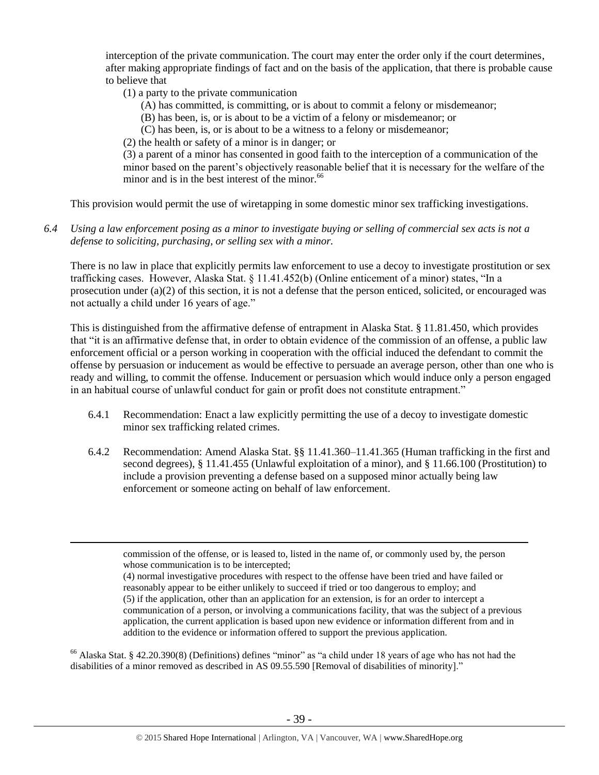interception of the private communication. The court may enter the order only if the court determines, after making appropriate findings of fact and on the basis of the application, that there is probable cause to believe that

(1) a party to the private communication

 $\overline{a}$ 

- (A) has committed, is committing, or is about to commit a felony or misdemeanor;
- (B) has been, is, or is about to be a victim of a felony or misdemeanor; or
- (C) has been, is, or is about to be a witness to a felony or misdemeanor;
- (2) the health or safety of a minor is in danger; or

(3) a parent of a minor has consented in good faith to the interception of a communication of the minor based on the parent's objectively reasonable belief that it is necessary for the welfare of the minor and is in the best interest of the minor.<sup>66</sup>

This provision would permit the use of wiretapping in some domestic minor sex trafficking investigations.

*6.4 Using a law enforcement posing as a minor to investigate buying or selling of commercial sex acts is not a defense to soliciting, purchasing, or selling sex with a minor.*

There is no law in place that explicitly permits law enforcement to use a decoy to investigate prostitution or sex trafficking cases. However, Alaska Stat. § 11.41.452(b) (Online enticement of a minor) states, "In a prosecution under (a)(2) of this section, it is not a defense that the person enticed, solicited, or encouraged was not actually a child under 16 years of age."

This is distinguished from the affirmative defense of entrapment in Alaska Stat. § 11.81.450, which provides that "it is an affirmative defense that, in order to obtain evidence of the commission of an offense, a public law enforcement official or a person working in cooperation with the official induced the defendant to commit the offense by persuasion or inducement as would be effective to persuade an average person, other than one who is ready and willing, to commit the offense. Inducement or persuasion which would induce only a person engaged in an habitual course of unlawful conduct for gain or profit does not constitute entrapment."

- 6.4.1 Recommendation: Enact a law explicitly permitting the use of a decoy to investigate domestic minor sex trafficking related crimes.
- 6.4.2 Recommendation: Amend Alaska Stat. §§ 11.41.360–11.41.365 (Human trafficking in the first and second degrees), § 11.41.455 (Unlawful exploitation of a minor), and § 11.66.100 (Prostitution) to include a provision preventing a defense based on a supposed minor actually being law enforcement or someone acting on behalf of law enforcement.

<sup>66</sup> Alaska Stat. § 42.20.390(8) (Definitions) defines "minor" as "a child under 18 years of age who has not had the disabilities of a minor removed as described in AS 09.55.590 [Removal of disabilities of minority]."

commission of the offense, or is leased to, listed in the name of, or commonly used by, the person whose communication is to be intercepted;

<sup>(4)</sup> normal investigative procedures with respect to the offense have been tried and have failed or reasonably appear to be either unlikely to succeed if tried or too dangerous to employ; and (5) if the application, other than an application for an extension, is for an order to intercept a communication of a person, or involving a communications facility, that was the subject of a previous application, the current application is based upon new evidence or information different from and in addition to the evidence or information offered to support the previous application.